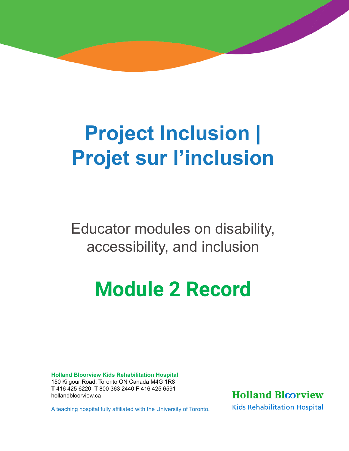# **Project Inclusion | Projet sur l'inclusion**

Educator modules on disability, accessibility, and inclusion

# **Module 2 Record**

**Holland Bloorview Kids Rehabilitation Hospital**  150 Kilgour Road, Toronto ON Canada M4G 1R8 **T** 416 425 6220 **T** 800 363 2440 **F** 416 425 6591 [hollandbloorview.ca](http://hollandbloorview.ca)

A teaching hospital fully affiliated with the University of Toronto.



**Kids Rehabilitation Hospital**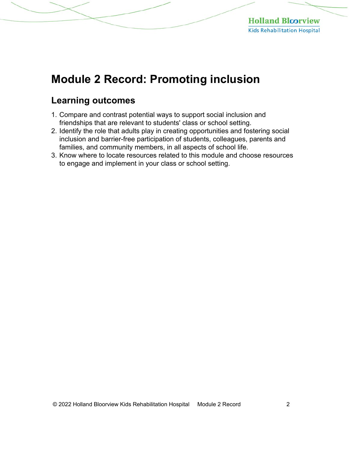## **Module 2 Record: Promoting inclusion**

## **Learning outcomes**

- 1. Compare and contrast potential ways to support social inclusion and friendships that are relevant to students' class or school setting.
- 2. Identify the role that adults play in creating opportunities and fostering social inclusion and barrier-free participation of students, colleagues, parents and families, and community members, in all aspects of school life.
- 3. Know where to locate resources related to this module and choose resources to engage and implement in your class or school setting.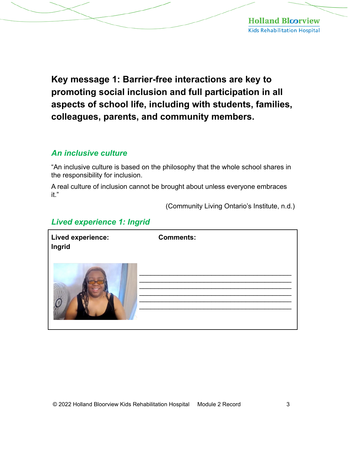**Key message 1: Barrier-free interactions are key to promoting social inclusion and full participation in all aspects of school life, including with students, families, colleagues, parents, and community members.** 

## *An inclusive culture*

"An inclusive culture is based on the philosophy that the whole school shares in the responsibility for inclusion.

A real culture of inclusion cannot be brought about unless everyone embraces it."

(Community Living Ontario's Institute, n.d*.*)

## *Lived experience 1: Ingrid*

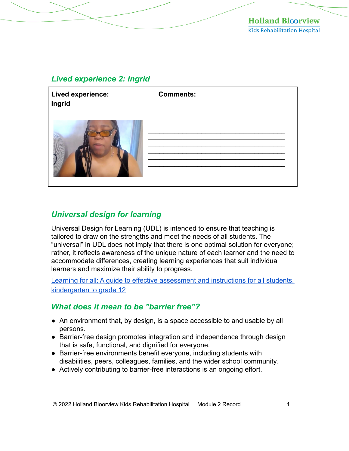## *Lived experience 2: Ingrid*

| Lived experience:<br>Ingrid | <b>Comments:</b> |
|-----------------------------|------------------|
|                             |                  |

## *Universal design for learning*

Universal Design for Learning (UDL) is intended to ensure that teaching is tailored to draw on the strengths and meet the needs of all students. The "universal" in UDL does not imply that there is one optimal solution for everyone; rather, it reflects awareness of the unique nature of each learner and the need to accommodate differences, creating learning experiences that suit individual learners and maximize their ability to progress.

[Learning for all: A guide to effective assessment and instructions for all students,](http://www.edu.gov.on.ca/eng/general/elemsec/speced/LearningforAll2013.pdf)  kindergarten to grade 12

## *What does it mean to be "barrier free"?*

- An environment that, by design, is a space accessible to and usable by all persons.
- Barrier-free design promotes integration and independence through design that is safe, functional, and dignified for everyone.
- Barrier-free environments benefit everyone, including students with disabilities, peers, colleagues, families, and the wider school community.
- Actively contributing to barrier-free interactions is an ongoing effort.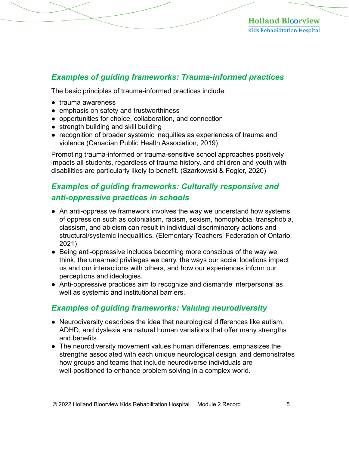## *Examples of guiding frameworks: Trauma-informed practices*

The basic principles of trauma-informed practices include:

- trauma awareness
- emphasis on safety and trustworthiness
- opportunities for choice, collaboration, and connection
- strength building and skill building
- recognition of broader systemic inequities as experiences of trauma and violence (Canadian Public Health Association, 2019)

Promoting trauma-informed or trauma-sensitive school approaches positively impacts all students, regardless of trauma history, and children and youth with disabilities are particularly likely to benefit. (Szarkowski & Fogler, 2020)

## *Examples of guiding frameworks: Culturally responsive and anti-oppressive practices in schools*

- An anti-oppressive framework involves the way we understand how systems of oppression such as colonialism, racism, sexism, homophobia, transphobia, classism, and ableism can result in individual discriminatory actions and structural/systemic inequalities. (Elementary Teachers' Federation of Ontario, 2021)
- Being anti-oppressive includes becoming more conscious of the way we think, the unearned privileges we carry, the ways our social locations impact us and our interactions with others, and how our experiences inform our perceptions and ideologies.
- Anti-oppressive practices aim to recognize and dismantle interpersonal as well as systemic and institutional barriers.

## *Examples of guiding frameworks: Valuing neurodiversity*

- Neurodiversity describes the idea that neurological differences like autism, ADHD, and dyslexia are natural human variations that offer many strengths and benefits.
- The neurodiversity movement values human differences, emphasizes the strengths associated with each unique neurological design, and demonstrates how groups and teams that include neurodiverse individuals are well-positioned to enhance problem solving in a complex world.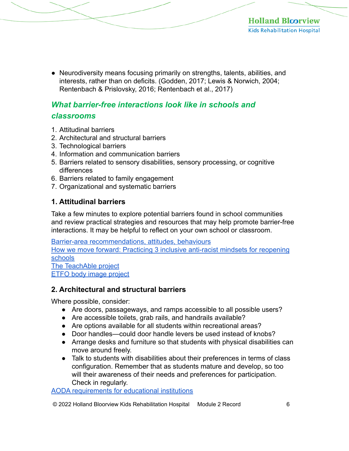● Neurodiversity means focusing primarily on strengths, talents, abilities, and interests, rather than on deficits. (Godden, 2017; Lewis & Norwich, 2004; Rentenbach & Prislovsky, 2016; Rentenbach et al., 2017)

## *What barrier-free interactions look like in schools and*

#### *classrooms*

- 1. Attitudinal barriers
- 2. Architectural and structural barriers
- 3. Technological barriers
- 4. Information and communication barriers
- 5. Barriers related to sensory disabilities, sensory processing, or cognitive differences
- 6. Barriers related to family engagement
- 7. Organizational and systematic barriers

## **1. Attitudinal barriers**

Take a few minutes to explore potential barriers found in school communities and review practical strategies and resources that may help promote barrier-free interactions. It may be helpful to reflect on your own school or classroom.

[Barrier-area recommendations, attitudes, behaviours](https://www.ontario.ca/document/development-proposed-kindergarten-grade-12-k-12-education-standards-2021-initial-recommendations/barrier-area-narratives-and-recommendations)  [How we move forward: Practicing 3 inclusive anti-racist mindsets for reopening](https://www.gettingsmart.com/2020/07/16/how-we-move-forward-practicing-three-inclusive-anti-racist-mindsets-for-reopening-schools/)  schools [The TeachAble project](https://theteachableproject.org/) [ETFO body image project](https://members.etfo.ca/SupportingMembers/Resources/Pages/BodyImageProject.aspx) 

## **2. Architectural and structural barriers**

Where possible, consider:

- Are doors, passageways, and ramps accessible to all possible users?
- Are accessible toilets, grab rails, and handrails available?
- Are options available for all students within recreational areas?
- Door handles—could door handle levers be used instead of knobs?
- Arrange desks and furniture so that students with physical disabilities can move around freely.
- Talk to students with disabilities about their preferences in terms of class configuration. Remember that as students mature and develop, so too will their awareness of their needs and preferences for participation. Check in regularly.

[AODA requirements for educational institutions](https://www.aoda.ca/aoda-requirements-for-educational-institutions/)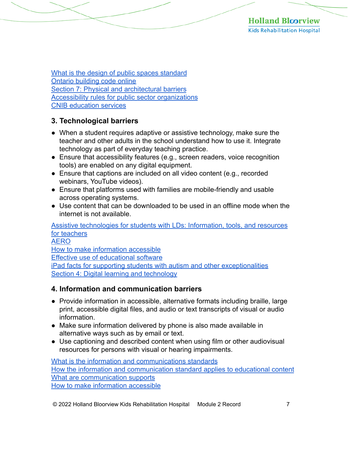[What is the design of public spaces standard](https://www.aoda.ca/what-is-the-design-of-public-spaces-standard/)  [Ontario building code online](https://www.buildingcode.online/)  [Section 7: Physical and architectural barriers](https://www.ontario.ca/document/development-proposed-kindergarten-grade-12-k-12-education-standards-2021-initial-recommendations/barrier-area-narratives-and-recommendations#section-6) [Accessibility rules for public sector organizations](https://www.ontario.ca/page/accessibility-rules-public-sector-organizations) [CNIB education services](https://frontier-cnib.ca/education-services.php)

## **3. Technological barriers**

- When a student requires adaptive or assistive technology, make sure the teacher and other adults in the school understand how to use it. Integrate technology as part of everyday teaching practice.
- Ensure that accessibility features (e.g., screen readers, voice recognition tools) are enabled on any digital equipment.
- Ensure that captions are included on all video content (e.g., recorded webinars, YouTube videos).
- Ensure that platforms used with families are mobile-friendly and usable across operating systems.
- Use content that can be downloaded to be used in an offline mode when the internet is not available.

[Assistive technologies for students with LDs: Information, tools, and resources](https://www.ldatschool.ca/information-tools-resources/)  for teachers [AERO](http://alternativeresources.ca/Aero/Public/WelcomePage.aspx)  [How to make information accessible](https://www.ontario.ca/page/how-make-information-accessible) 

[Effective use of educational software](https://www.autismontario.com/node/477)

[iPad facts for supporting students with autism and other exceptionalities](https://www.autismontario.com/node/685)  [Section 4: Digital learning and technology](https://www.ontario.ca/document/development-proposed-kindergarten-grade-12-k-12-education-standards-2021-initial-recommendations/barrier-area-narratives-and-recommendations#section-3) 

## **4. Information and communication barriers**

- Provide information in accessible, alternative formats including braille, large print, accessible digital files, and audio or text transcripts of visual or audio information.
- Make sure information delivered by phone is also made available in alternative ways such as by email or text.
- Use captioning and described content when using film or other audiovisual resources for persons with visual or hearing impairments.

[What is the information and communications standards](https://www.aoda.ca/what-is-the-information-and-communications-standards/)  [How the information and communication standard applies to educational content](https://snow.idrc.ocadu.ca/accessible-media-and-documents/applying-the-aoda-to-educational-content/how-the-information-and-communication-standard/)  [What are communication supports](https://www.aoda.ca/what-are-communication-supports/)  [How to make information accessible](https://www.ontario.ca/page/how-make-information-accessible)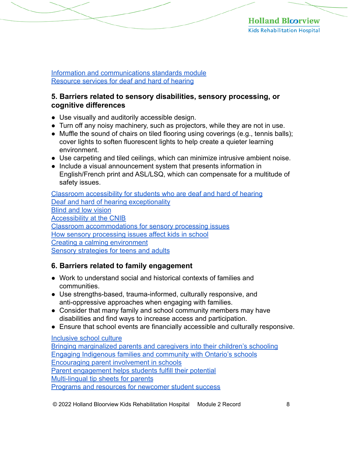[Information and communications standards module](https://accessforward.ca/newado/icsmodule/) [Resource services for deaf and hard of hearing](https://pdsbnet.ca/en/programs-and-services/resource-services-and-outreach-programs/resource-services-for-deaf-hard-of-hearing/) 

#### **5. Barriers related to sensory disabilities, sensory processing, or cognitive differences**

- Use visually and auditorily accessible design.
- Turn off any noisy machinery, such as projectors, while they are not in use.
- Muffle the sound of chairs on tiled flooring using coverings (e.g., tennis balls); cover lights to soften fluorescent lights to help create a quieter learning environment.
- Use carpeting and tiled ceilings, which can minimize intrusive ambient noise.
- Include a visual announcement system that presents information in English/French print and ASL/LSQ, which can compensate for a multitude of safety issues.

[Classroom accessibility for students who are deaf and hard of hearing](https://www.chs.ca/sites/default/files/mhg_images/CHS003_AccessibilityGuide_EN_APPROVED.PDF)  [Deaf and hard of hearing exceptionality](https://www.teachspeced.ca/deaf-and-hard-of-hearing)  [Blind and low vision](https://www.teachspeced.ca/blind-and-low-vision) [Accessibility at the CNIB](https://cnib.ca/en/about-us/accessibility-cnib?region=bc)  [Classroom accommodations for sensory processing issues](https://www.understood.org/articles/en/at-a-glance-classroom-accommodations-for-sensory-processing-issues)  [How sensory processing issues affect kids in school](https://childmind.org/article/how-sensory-processing-issues-affect-kids-in-school/)  [Creating a calming environment](https://connectability.ca/2020/06/26/creating-a-calming-environment/) [Sensory strategies for teens and adults](https://www.autismontario.com/sites/default/files/2020-05/Sensory%20Strategies.pdf) 

## **6. Barriers related to family engagement**

- Work to understand social and historical contexts of families and communities.
- Use strengths-based, trauma-informed, culturally responsive, and anti-oppressive approaches when engaging with families.
- Consider that many family and school community members may have disabilities and find ways to increase access and participation.
- Ensure that school events are financially accessible and culturally responsive.

#### [Inclusive school culture](https://inclusiveschoolcommunities.org.au/resources/toolkit/inclusive-school-culture)

[Bringing marginalized parents and caregivers into their children's schooling](https://thelearningexchange.ca/wp-content/uploads/2017/02/WW_MarginParents.pdf)  [Engaging Indigenous families and community with Ontario's schools](https://aes-keb.com/wp-content/uploads/2019/02/Engaging-Indigenous-Families-and-Community.pdf) [Encouraging parent involvement in schools](http://www.edu.gov.on.ca/eng/parents/involvement/)  [Parent engagement helps students fulfill their potential](https://www.parentsengagedineducation.ca/)  [Multi-lingual tip sheets for parents](https://peopleforeducation.ca/topics/parent-involvement/) [Programs and resources for newcomer student success](http://welcome2school.ca/about/)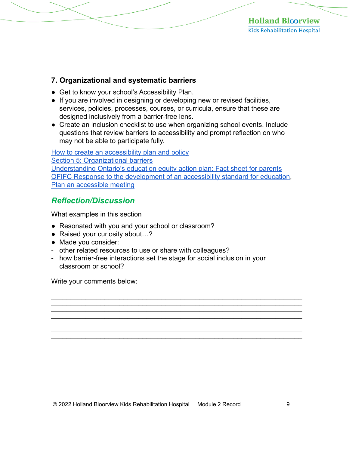#### **7. Organizational and systematic barriers**

- Get to know your school's Accessibility Plan.
- If you are involved in designing or developing new or revised facilities, services, policies, processes, courses, or curricula, ensure that these are designed inclusively from a barrier-free lens.
- Create an inclusion checklist to use when organizing school events. Include questions that review barriers to accessibility and prompt reflection on who may not be able to participate fully.

[How to create an accessibility plan and policy](https://www.ontario.ca/page/how-create-accessibility-plan-and-policy) [Section 5: Organizational barriers](https://www.ontario.ca/document/development-proposed-kindergarten-grade-12-k-12-education-standards-2021-initial-recommendations/barrier-area-narratives-and-recommendations#section-4)  [Understanding Ontario's education equity action plan: Fact sheet for parents](https://toronto.oapce.org/wp-content/uploads/2019/09/education_equity_plan_fact_en.pdf)  [OFIFC Response to the development of an accessibility standard for education,](https://ofifc.org/wp-content/uploads/2020/03/2017-06-21-Increasing-Education-Access-for-Urban-Indigenous-Students.pdf)  [Plan an accessible meeting](https://www.aoda.ca/plan-an-accessible-meeting/)

## *Reflection/Discussion*

What examples in this section

- Resonated with you and your school or classroom?
- Raised your curiosity about...?
- Made you consider:
- other related resources to use or share with colleagues?
- how barrier-free interactions set the stage for social inclusion in your classroom or school?

\_\_\_\_\_\_\_\_\_\_\_\_\_\_\_\_\_\_\_\_\_\_\_\_\_\_\_\_\_\_\_\_\_\_\_\_\_\_\_\_\_\_\_\_\_\_\_\_\_\_\_\_\_\_\_\_\_\_\_\_\_\_\_\_\_\_

\_\_\_\_\_\_\_\_\_\_\_\_\_\_\_\_\_\_\_\_\_\_\_\_\_\_\_\_\_\_\_\_\_\_\_\_\_\_\_\_\_\_\_\_\_\_\_\_\_\_\_\_\_\_\_\_\_\_\_\_\_\_\_\_\_\_

\_\_\_\_\_\_\_\_\_\_\_\_\_\_\_\_\_\_\_\_\_\_\_\_\_\_\_\_\_\_\_\_\_\_\_\_\_\_\_\_\_\_\_\_\_\_\_\_\_\_\_\_\_\_\_\_\_\_\_\_\_\_\_\_\_\_  $\mathcal{L}_\mathcal{L} = \mathcal{L}_\mathcal{L} = \mathcal{L}_\mathcal{L} = \mathcal{L}_\mathcal{L} = \mathcal{L}_\mathcal{L} = \mathcal{L}_\mathcal{L} = \mathcal{L}_\mathcal{L} = \mathcal{L}_\mathcal{L} = \mathcal{L}_\mathcal{L} = \mathcal{L}_\mathcal{L} = \mathcal{L}_\mathcal{L} = \mathcal{L}_\mathcal{L} = \mathcal{L}_\mathcal{L} = \mathcal{L}_\mathcal{L} = \mathcal{L}_\mathcal{L} = \mathcal{L}_\mathcal{L} = \mathcal{L}_\mathcal{L}$  $\mathcal{L}_\mathcal{L}$  , and the contribution of the contribution of the contribution of the contribution of the contribution of the contribution of the contribution of the contribution of the contribution of the contribution of \_\_\_\_\_\_\_\_\_\_\_\_\_\_\_\_\_\_\_\_\_\_\_\_\_\_\_\_\_\_\_\_\_\_\_\_\_\_\_\_\_\_\_\_\_\_\_\_\_\_\_\_\_\_\_\_\_\_\_\_\_\_\_\_\_\_

 $\frac{1}{2}$ \_\_\_\_\_\_\_\_\_\_\_\_\_\_\_\_\_\_\_\_\_\_\_\_\_\_\_\_\_\_\_\_\_\_\_\_\_\_\_\_\_\_\_\_\_\_\_\_\_\_\_\_\_\_\_\_\_\_\_\_\_\_\_\_\_\_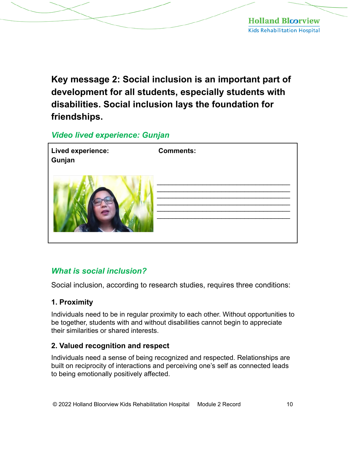**Key message 2: Social inclusion is an important part of development for all students, especially students with disabilities. Social inclusion lays the foundation for friendships.** 

## *Video lived experience: Gunjan*

| Lived experience:<br>Gunjan | <b>Comments:</b> |
|-----------------------------|------------------|
|                             |                  |

## *What is social inclusion?*

Social inclusion, according to research studies, requires three conditions:

## **1. Proximity**

Individuals need to be in regular proximity to each other. Without opportunities to be together, students with and without disabilities cannot begin to appreciate their similarities or shared interests.

## **2. Valued recognition and respect**

Individuals need a sense of being recognized and respected. Relationships are built on reciprocity of interactions and perceiving one's self as connected leads to being emotionally positively affected.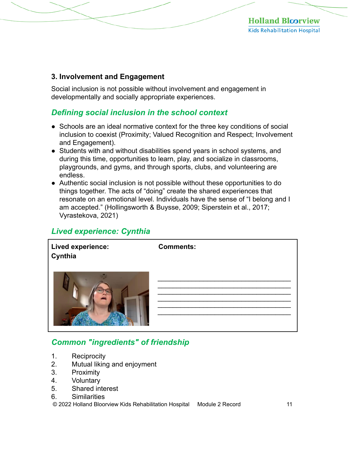#### **3. Involvement and Engagement**

Social inclusion is not possible without involvement and engagement in developmentally and socially appropriate experiences.

## *Defining social inclusion in the school context*

- Schools are an ideal normative context for the three key conditions of social inclusion to coexist (Proximity; Valued Recognition and Respect; Involvement and Engagement).
- Students with and without disabilities spend years in school systems, and during this time, opportunities to learn, play, and socialize in classrooms, playgrounds, and gyms, and through sports, clubs, and volunteering are endless.
- Authentic social inclusion is not possible without these opportunities to do things together. The acts of "doing" create the shared experiences that resonate on an emotional level. Individuals have the sense of "I belong and I am accepted." (Hollingsworth & Buysse, 2009; Siperstein et al., 2017; Vyrastekova, 2021)

## *Lived experience: Cynthia*



## *Common "ingredients" of friendship*

- 1. Reciprocity
- 2. Mutual liking and enjoyment
- 3. Proximity
- 4. Voluntary
- 5. Shared interest
- 6. Similarities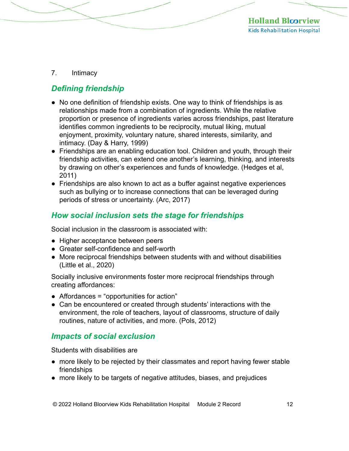7. Intimacy

## *Defining friendship*

- No one definition of friendship exists. One way to think of friendships is as relationships made from a combination of ingredients. While the relative proportion or presence of ingredients varies across friendships, past literature identifies common ingredients to be reciprocity, mutual liking, mutual enjoyment, proximity, voluntary nature, shared interests, similarity, and intimacy. (Day & Harry, 1999)
- Friendships are an enabling education tool. Children and youth, through their friendship activities, can extend one another's learning, thinking, and interests by drawing on other's experiences and funds of knowledge. (Hedges et al, 2011)
- Friendships are also known to act as a buffer against negative experiences such as bullying or to increase connections that can be leveraged during periods of stress or uncertainty. (Arc, 2017)

## *How social inclusion sets the stage for friendships*

Social inclusion in the classroom is associated with:

- Higher acceptance between peers
- Greater self-confidence and self-worth
- More reciprocal friendships between students with and without disabilities (Little et al., 2020)

Socially inclusive environments foster more reciprocal friendships through creating affordances:

- Affordances = "opportunities for action"
- Can be encountered or created through students' interactions with the environment, the role of teachers, layout of classrooms, structure of daily routines, nature of activities, and more. (Pols, 2012)

## *Impacts of social exclusion*

Students with disabilities are

- more likely to be rejected by their classmates and report having fewer stable friendships
- more likely to be targets of negative attitudes, biases, and prejudices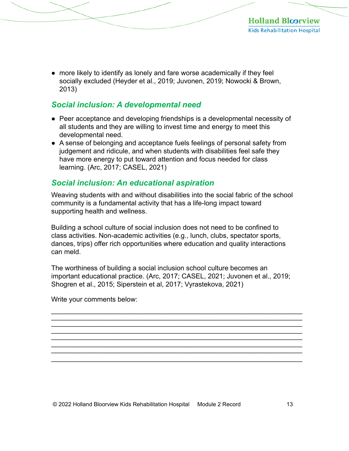• more likely to identify as lonely and fare worse academically if they feel socially excluded (Heyder et al., 2019; Juvonen, 2019; Nowocki & Brown, 2013)

## *Social inclusion: A developmental need*

- Peer acceptance and developing friendships is a developmental necessity of all students and they are willing to invest time and energy to meet this developmental need.
- A sense of belonging and acceptance fuels feelings of personal safety from judgement and ridicule, and when students with disabilities feel safe they have more energy to put toward attention and focus needed for class learning. (Arc, 2017; CASEL, 2021)

#### *Social inclusion: An educational aspiration*

Weaving students with and without disabilities into the social fabric of the school community is a fundamental activity that has a life-long impact toward supporting health and wellness.

Building a school culture of social inclusion does not need to be confined to class activities. Non-academic activities (e.g., lunch, clubs, spectator sports, dances, trips) offer rich opportunities where education and quality interactions can meld.

The worthiness of building a social inclusion school culture becomes an important educational practice. (Arc, 2017; CASEL, 2021; Juvonen et al., 2019; Shogren et al., 2015; Siperstein et al, 2017; Vyrastekova, 2021)

\_\_\_\_\_\_\_\_\_\_\_\_\_\_\_\_\_\_\_\_\_\_\_\_\_\_\_\_\_\_\_\_\_\_\_\_\_\_\_\_\_\_\_\_\_\_\_\_\_\_\_\_\_\_\_\_\_\_\_\_\_\_\_\_\_\_

\_\_\_\_\_\_\_\_\_\_\_\_\_\_\_\_\_\_\_\_\_\_\_\_\_\_\_\_\_\_\_\_\_\_\_\_\_\_\_\_\_\_\_\_\_\_\_\_\_\_\_\_\_\_\_\_\_\_\_\_\_\_\_\_\_\_

 $\mathcal{L}_\mathcal{L}$  , and the contribution of the contribution of the contribution of the contribution of the contribution of the contribution of the contribution of the contribution of the contribution of the contribution of  $\mathcal{L}_\mathcal{L} = \mathcal{L}_\mathcal{L} = \mathcal{L}_\mathcal{L} = \mathcal{L}_\mathcal{L} = \mathcal{L}_\mathcal{L} = \mathcal{L}_\mathcal{L} = \mathcal{L}_\mathcal{L} = \mathcal{L}_\mathcal{L} = \mathcal{L}_\mathcal{L} = \mathcal{L}_\mathcal{L} = \mathcal{L}_\mathcal{L} = \mathcal{L}_\mathcal{L} = \mathcal{L}_\mathcal{L} = \mathcal{L}_\mathcal{L} = \mathcal{L}_\mathcal{L} = \mathcal{L}_\mathcal{L} = \mathcal{L}_\mathcal{L}$ \_\_\_\_\_\_\_\_\_\_\_\_\_\_\_\_\_\_\_\_\_\_\_\_\_\_\_\_\_\_\_\_\_\_\_\_\_\_\_\_\_\_\_\_\_\_\_\_\_\_\_\_\_\_\_\_\_\_\_\_\_\_\_\_\_\_  $\mathcal{L}_\mathcal{L} = \mathcal{L}_\mathcal{L} = \mathcal{L}_\mathcal{L} = \mathcal{L}_\mathcal{L} = \mathcal{L}_\mathcal{L} = \mathcal{L}_\mathcal{L} = \mathcal{L}_\mathcal{L} = \mathcal{L}_\mathcal{L} = \mathcal{L}_\mathcal{L} = \mathcal{L}_\mathcal{L} = \mathcal{L}_\mathcal{L} = \mathcal{L}_\mathcal{L} = \mathcal{L}_\mathcal{L} = \mathcal{L}_\mathcal{L} = \mathcal{L}_\mathcal{L} = \mathcal{L}_\mathcal{L} = \mathcal{L}_\mathcal{L}$ 

\_\_\_\_\_\_\_\_\_\_\_\_\_\_\_\_\_\_\_\_\_\_\_\_\_\_\_\_\_\_\_\_\_\_\_\_\_\_\_\_\_\_\_\_\_\_\_\_\_\_\_\_\_\_\_\_\_\_\_\_\_\_\_\_\_\_  $\_$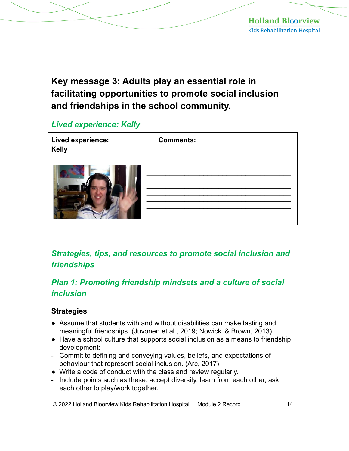## **Key message 3: Adults play an essential role in facilitating opportunities to promote social inclusion and friendships in the school community.**

## *Lived experience: Kelly*

| Lived experience:<br><b>Kelly</b> | <b>Comments:</b> |
|-----------------------------------|------------------|
|                                   |                  |

## *Strategies, tips, and resources to promote social inclusion and friendships*

## *Plan 1: Promoting friendship mindsets and a culture of social inclusion*

## **Strategies**

- Assume that students with and without disabilities can make lasting and meaningful friendships. (Juvonen et al., 2019; Nowicki & Brown, 2013)
- Have a school culture that supports social inclusion as a means to friendship development:
- Commit to defining and conveying values, beliefs, and expectations of behaviour that represent social inclusion. (Arc, 2017)
- Write a code of conduct with the class and review regularly.
- Include points such as these: accept diversity, learn from each other, ask each other to play/work together.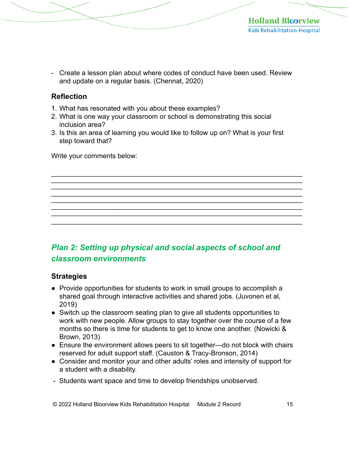- Create a lesson plan about where codes of conduct have been used. Review and update on a regular basis. (Chennat, 2020)

#### **Reflection**

- 1. What has resonated with you about these examples?
- 2. What is one way your classroom or school is demonstrating this social inclusion area?
- 3. Is this an area of learning you would like to follow up on? What is your first step toward that?

\_\_\_\_\_\_\_\_\_\_\_\_\_\_\_\_\_\_\_\_\_\_\_\_\_\_\_\_\_\_\_\_\_\_\_\_\_\_\_\_\_\_\_\_\_\_\_\_\_\_\_\_\_\_\_\_\_\_\_\_\_\_\_\_\_\_

\_\_\_\_\_\_\_\_\_\_\_\_\_\_\_\_\_\_\_\_\_\_\_\_\_\_\_\_\_\_\_\_\_\_\_\_\_\_\_\_\_\_\_\_\_\_\_\_\_\_\_\_\_\_\_\_\_\_\_\_\_\_\_\_\_\_

 $\mathcal{L}_\mathcal{L}$  , and the contribution of the contribution of the contribution of the contribution of the contribution of the contribution of the contribution of the contribution of the contribution of the contribution of \_\_\_\_\_\_\_\_\_\_\_\_\_\_\_\_\_\_\_\_\_\_\_\_\_\_\_\_\_\_\_\_\_\_\_\_\_\_\_\_\_\_\_\_\_\_\_\_\_\_\_\_\_\_\_\_\_\_\_\_\_\_\_\_\_\_  $\mathcal{L}_\mathcal{L}$  , and the contribution of the contribution of the contribution of the contribution of the contribution of the contribution of the contribution of the contribution of the contribution of the contribution of  $\mathcal{L}_\mathcal{L} = \mathcal{L}_\mathcal{L} = \mathcal{L}_\mathcal{L} = \mathcal{L}_\mathcal{L} = \mathcal{L}_\mathcal{L} = \mathcal{L}_\mathcal{L} = \mathcal{L}_\mathcal{L} = \mathcal{L}_\mathcal{L} = \mathcal{L}_\mathcal{L} = \mathcal{L}_\mathcal{L} = \mathcal{L}_\mathcal{L} = \mathcal{L}_\mathcal{L} = \mathcal{L}_\mathcal{L} = \mathcal{L}_\mathcal{L} = \mathcal{L}_\mathcal{L} = \mathcal{L}_\mathcal{L} = \mathcal{L}_\mathcal{L}$ 

\_\_\_\_\_\_\_\_\_\_\_\_\_\_\_\_\_\_\_\_\_\_\_\_\_\_\_\_\_\_\_\_\_\_\_\_\_\_\_\_\_\_\_\_\_\_\_\_\_\_\_\_\_\_\_\_\_\_\_\_\_\_\_\_\_\_ \_\_\_\_\_\_\_\_\_\_\_\_\_\_\_\_\_\_\_\_\_\_\_\_\_\_\_\_\_\_\_\_\_\_\_\_\_\_\_\_\_\_\_\_\_\_\_\_\_\_\_\_\_\_\_\_\_\_\_\_\_\_\_\_\_\_

Write your comments below:

## *Plan 2: Setting up physical and social aspects of school and classroom environments*

#### **Strategies**

- Provide opportunities for students to work in small groups to accomplish a shared goal through interactive activities and shared jobs. (Juvonen et al, 2019)
- Switch up the classroom seating plan to give all students opportunities to work with new people. Allow groups to stay together over the course of a few months so there is time for students to get to know one another. (Nowicki & Brown, 2013)
- Ensure the environment allows peers to sit together—do not block with chairs reserved for adult support staff. (Causton & Tracy-Bronson, 2014)
- Consider and monitor your and other adults' roles and intensity of support for a student with a disability.
- Students want space and time to develop friendships unobserved.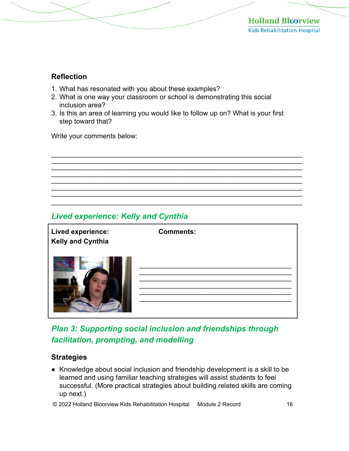#### **Reflection**

- 1. What has resonated with you about these examples?
- 2. What is one way your classroom or school is demonstrating this social inclusion area?
- 3. Is this an area of learning you would like to follow up on? What is your first step toward that?

\_\_\_\_\_\_\_\_\_\_\_\_\_\_\_\_\_\_\_\_\_\_\_\_\_\_\_\_\_\_\_\_\_\_\_\_\_\_\_\_\_\_\_\_\_\_\_\_\_\_\_\_\_\_\_\_\_\_\_\_\_\_\_\_\_\_

\_\_\_\_\_\_\_\_\_\_\_\_\_\_\_\_\_\_\_\_\_\_\_\_\_\_\_\_\_\_\_\_\_\_\_\_\_\_\_\_\_\_\_\_\_\_\_\_\_\_\_\_\_\_\_\_\_\_\_\_\_\_\_\_\_\_

\_\_\_\_\_\_\_\_\_\_\_\_\_\_\_\_\_\_\_\_\_\_\_\_\_\_\_\_\_\_\_\_\_\_\_\_\_\_\_\_\_\_\_\_\_\_\_\_\_\_\_\_\_\_\_\_\_\_\_\_\_\_\_\_\_\_  $\mathcal{L}_\mathcal{L} = \mathcal{L}_\mathcal{L} = \mathcal{L}_\mathcal{L} = \mathcal{L}_\mathcal{L} = \mathcal{L}_\mathcal{L} = \mathcal{L}_\mathcal{L} = \mathcal{L}_\mathcal{L} = \mathcal{L}_\mathcal{L} = \mathcal{L}_\mathcal{L} = \mathcal{L}_\mathcal{L} = \mathcal{L}_\mathcal{L} = \mathcal{L}_\mathcal{L} = \mathcal{L}_\mathcal{L} = \mathcal{L}_\mathcal{L} = \mathcal{L}_\mathcal{L} = \mathcal{L}_\mathcal{L} = \mathcal{L}_\mathcal{L}$  $\mathcal{L}_\mathcal{L}$  , and the contribution of the contribution of the contribution of the contribution of the contribution of the contribution of the contribution of the contribution of the contribution of the contribution of \_\_\_\_\_\_\_\_\_\_\_\_\_\_\_\_\_\_\_\_\_\_\_\_\_\_\_\_\_\_\_\_\_\_\_\_\_\_\_\_\_\_\_\_\_\_\_\_\_\_\_\_\_\_\_\_\_\_\_\_\_\_\_\_\_\_

 $\frac{1}{2}$ \_\_\_\_\_\_\_\_\_\_\_\_\_\_\_\_\_\_\_\_\_\_\_\_\_\_\_\_\_\_\_\_\_\_\_\_\_\_\_\_\_\_\_\_\_\_\_\_\_\_\_\_\_\_\_\_\_\_\_\_\_\_\_\_\_\_

Write your comments below:

## *Lived experience: Kelly and Cynthia*

| <b>Lived experience:</b><br><b>Kelly and Cynthia</b> | <b>Comments:</b> |
|------------------------------------------------------|------------------|
|                                                      |                  |

## *Plan 3: Supporting social inclusion and friendships through facilitation, prompting, and modelling*

#### **Strategies**

● Knowledge about social inclusion and friendship development is a skill to be learned and using familiar teaching strategies will assist students to feel successful. (More practical strategies about building related skills are coming up next.)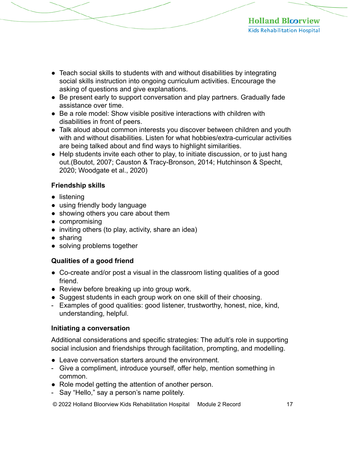- Teach social skills to students with and without disabilities by integrating social skills instruction into ongoing curriculum activities. Encourage the asking of questions and give explanations.
- Be present early to support conversation and play partners. Gradually fade assistance over time.
- Be a role model: Show visible positive interactions with children with disabilities in front of peers.
- Talk aloud about common interests you discover between children and youth with and without disabilities. Listen for what hobbies/extra-curricular activities are being talked about and find ways to highlight similarities.
- Help students invite each other to play, to initiate discussion, or to just hang out.(Boutot, 2007; Causton & Tracy-Bronson, 2014; Hutchinson & Specht, 2020; Woodgate et al., 2020)

#### **Friendship skills**

- listening
- using friendly body language
- showing others you care about them
- compromising
- inviting others (to play, activity, share an idea)
- sharing
- solving problems together

#### **Qualities of a good friend**

- Co-create and/or post a visual in the classroom listing qualities of a good friend.
- Review before breaking up into group work.
- Suggest students in each group work on one skill of their choosing.
- Examples of good qualities: good listener, trustworthy, honest, nice, kind, understanding, helpful.

#### **Initiating a conversation**

Additional considerations and specific strategies: The adult's role in supporting social inclusion and friendships through facilitation, prompting, and modelling.

- Leave conversation starters around the environment.
- Give a compliment, introduce yourself, offer help, mention something in common.
- Role model getting the attention of another person.
- Say "Hello," say a person's name politely.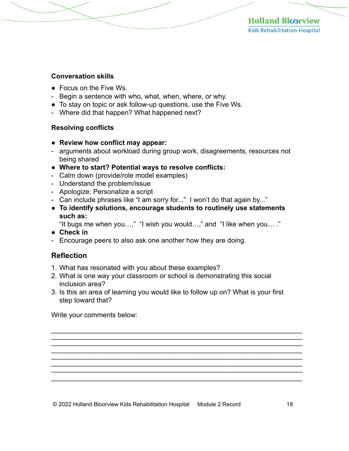#### **Conversation skills**

- Focus on the Five Ws.
- Begin a sentence with who, what, when, where, or why.
- To stay on topic or ask follow-up questions, use the Five Ws.
- Where did that happen? What happened next?

#### **Resolving conflicts**

- **Review how conflict may appear:**
- arguments about workload during group work, disagreements, resources not being shared
- **Where to start? Potential ways to resolve conflicts:**
- Calm down (provide/role model examples)
- Understand the problem/issue
- Apologize: Personalize a script
- Can include phrases like "I am sorry for..." I won't do that again by..."
- **To identify solutions, encourage students to routinely use statements such as:**

"It bugs me when you…," "I wish you would…," and "I like when you… ."

- **Check in**
- Encourage peers to also ask one another how they are doing.

#### **Reflection**

- 1. What has resonated with you about these examples?
- 2. What is one way your classroom or school is demonstrating this social inclusion area?
- 3. Is this an area of learning you would like to follow up on? What is your first step toward that?

\_\_\_\_\_\_\_\_\_\_\_\_\_\_\_\_\_\_\_\_\_\_\_\_\_\_\_\_\_\_\_\_\_\_\_\_\_\_\_\_\_\_\_\_\_\_\_\_\_\_\_\_\_\_\_\_\_\_\_\_\_\_\_\_\_\_

\_\_\_\_\_\_\_\_\_\_\_\_\_\_\_\_\_\_\_\_\_\_\_\_\_\_\_\_\_\_\_\_\_\_\_\_\_\_\_\_\_\_\_\_\_\_\_\_\_\_\_\_\_\_\_\_\_\_\_\_\_\_\_\_\_\_

\_\_\_\_\_\_\_\_\_\_\_\_\_\_\_\_\_\_\_\_\_\_\_\_\_\_\_\_\_\_\_\_\_\_\_\_\_\_\_\_\_\_\_\_\_\_\_\_\_\_\_\_\_\_\_\_\_\_\_\_\_\_\_\_\_\_  $\mathcal{L}_\mathcal{L} = \mathcal{L}_\mathcal{L} = \mathcal{L}_\mathcal{L} = \mathcal{L}_\mathcal{L} = \mathcal{L}_\mathcal{L} = \mathcal{L}_\mathcal{L} = \mathcal{L}_\mathcal{L} = \mathcal{L}_\mathcal{L} = \mathcal{L}_\mathcal{L} = \mathcal{L}_\mathcal{L} = \mathcal{L}_\mathcal{L} = \mathcal{L}_\mathcal{L} = \mathcal{L}_\mathcal{L} = \mathcal{L}_\mathcal{L} = \mathcal{L}_\mathcal{L} = \mathcal{L}_\mathcal{L} = \mathcal{L}_\mathcal{L}$  $\mathcal{L}_\mathcal{L}$  , and the contribution of the contribution of the contribution of the contribution of the contribution of the contribution of the contribution of the contribution of the contribution of the contribution of \_\_\_\_\_\_\_\_\_\_\_\_\_\_\_\_\_\_\_\_\_\_\_\_\_\_\_\_\_\_\_\_\_\_\_\_\_\_\_\_\_\_\_\_\_\_\_\_\_\_\_\_\_\_\_\_\_\_\_\_\_\_\_\_\_\_

 $\frac{1}{2}$ \_\_\_\_\_\_\_\_\_\_\_\_\_\_\_\_\_\_\_\_\_\_\_\_\_\_\_\_\_\_\_\_\_\_\_\_\_\_\_\_\_\_\_\_\_\_\_\_\_\_\_\_\_\_\_\_\_\_\_\_\_\_\_\_\_\_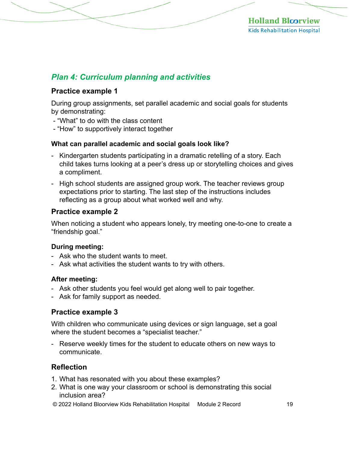## *Plan 4: Curriculum planning and activities*

#### **Practice example 1**

During group assignments, set parallel academic and social goals for students by demonstrating:

- "What" to do with the class content
- "How" to supportively interact together

#### **What can parallel academic and social goals look like?**

- Kindergarten students participating in a dramatic retelling of a story. Each child takes turns looking at a peer's dress up or storytelling choices and gives a compliment.
- High school students are assigned group work. The teacher reviews group expectations prior to starting. The last step of the instructions includes reflecting as a group about what worked well and why.

#### **Practice example 2**

When noticing a student who appears lonely, try meeting one-to-one to create a "friendship goal."

#### **During meeting:**

- Ask who the student wants to meet.
- Ask what activities the student wants to try with others.

#### **After meeting:**

- Ask other students you feel would get along well to pair together.
- Ask for family support as needed.

#### **Practice example 3**

With children who communicate using devices or sign language, set a goal where the student becomes a "specialist teacher."

- Reserve weekly times for the student to educate others on new ways to communicate.

#### **Reflection**

- 1. What has resonated with you about these examples?
- 2. What is one way your classroom or school is demonstrating this social inclusion area?
- © 2022 Holland Bloorview Kids Rehabilitation Hospital Module 2 Record 19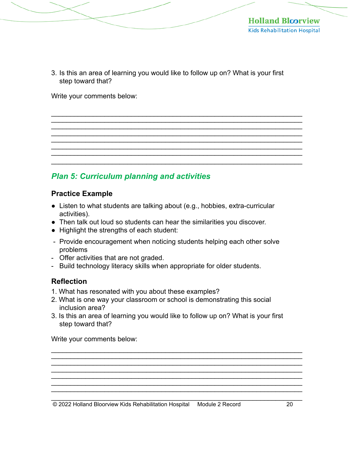3. Is this an area of learning you would like to follow up on? What is your first step toward that?

\_\_\_\_\_\_\_\_\_\_\_\_\_\_\_\_\_\_\_\_\_\_\_\_\_\_\_\_\_\_\_\_\_\_\_\_\_\_\_\_\_\_\_\_\_\_\_\_\_\_\_\_\_\_\_\_\_\_\_\_\_\_\_\_\_\_

\_\_\_\_\_\_\_\_\_\_\_\_\_\_\_\_\_\_\_\_\_\_\_\_\_\_\_\_\_\_\_\_\_\_\_\_\_\_\_\_\_\_\_\_\_\_\_\_\_\_\_\_\_\_\_\_\_\_\_\_\_\_\_\_\_\_

\_\_\_\_\_\_\_\_\_\_\_\_\_\_\_\_\_\_\_\_\_\_\_\_\_\_\_\_\_\_\_\_\_\_\_\_\_\_\_\_\_\_\_\_\_\_\_\_\_\_\_\_\_\_\_\_\_\_\_\_\_\_\_\_\_\_  $\mathcal{L}_\mathcal{L} = \mathcal{L}_\mathcal{L} = \mathcal{L}_\mathcal{L} = \mathcal{L}_\mathcal{L} = \mathcal{L}_\mathcal{L} = \mathcal{L}_\mathcal{L} = \mathcal{L}_\mathcal{L} = \mathcal{L}_\mathcal{L} = \mathcal{L}_\mathcal{L} = \mathcal{L}_\mathcal{L} = \mathcal{L}_\mathcal{L} = \mathcal{L}_\mathcal{L} = \mathcal{L}_\mathcal{L} = \mathcal{L}_\mathcal{L} = \mathcal{L}_\mathcal{L} = \mathcal{L}_\mathcal{L} = \mathcal{L}_\mathcal{L}$  $\mathcal{L}_\mathcal{L}$  , and the contribution of the contribution of the contribution of the contribution of the contribution of the contribution of the contribution of the contribution of the contribution of the contribution of \_\_\_\_\_\_\_\_\_\_\_\_\_\_\_\_\_\_\_\_\_\_\_\_\_\_\_\_\_\_\_\_\_\_\_\_\_\_\_\_\_\_\_\_\_\_\_\_\_\_\_\_\_\_\_\_\_\_\_\_\_\_\_\_\_\_

 $\frac{1}{2}$ \_\_\_\_\_\_\_\_\_\_\_\_\_\_\_\_\_\_\_\_\_\_\_\_\_\_\_\_\_\_\_\_\_\_\_\_\_\_\_\_\_\_\_\_\_\_\_\_\_\_\_\_\_\_\_\_\_\_\_\_\_\_\_\_\_\_

Write your comments below:

## *Plan 5: Curriculum planning and activities*

#### **Practice Example**

- Listen to what students are talking about (e.g., hobbies, extra-curricular activities).
- Then talk out loud so students can hear the similarities you discover.
- Highlight the strengths of each student:
- Provide encouragement when noticing students helping each other solve problems
- Offer activities that are not graded.
- Build technology literacy skills when appropriate for older students.

## **Reflection**

- 1. What has resonated with you about these examples?
- 2. What is one way your classroom or school is demonstrating this social inclusion area?
- 3. Is this an area of learning you would like to follow up on? What is your first step toward that?

\_\_\_\_\_\_\_\_\_\_\_\_\_\_\_\_\_\_\_\_\_\_\_\_\_\_\_\_\_\_\_\_\_\_\_\_\_\_\_\_\_\_\_\_\_\_\_\_\_\_\_\_\_\_\_\_\_\_\_\_\_\_\_\_\_\_

\_\_\_\_\_\_\_\_\_\_\_\_\_\_\_\_\_\_\_\_\_\_\_\_\_\_\_\_\_\_\_\_\_\_\_\_\_\_\_\_\_\_\_\_\_\_\_\_\_\_\_\_\_\_\_\_\_\_\_\_\_\_\_\_\_\_

 $\mathcal{L}_\mathcal{L}$  , and the contribution of the contribution of the contribution of the contribution of the contribution of the contribution of the contribution of the contribution of the contribution of the contribution of \_\_\_\_\_\_\_\_\_\_\_\_\_\_\_\_\_\_\_\_\_\_\_\_\_\_\_\_\_\_\_\_\_\_\_\_\_\_\_\_\_\_\_\_\_\_\_\_\_\_\_\_\_\_\_\_\_\_\_\_\_\_\_\_\_\_  $\mathcal{L}_\mathcal{L}$  , and the contribution of the contribution of the contribution of the contribution of the contribution of the contribution of the contribution of the contribution of the contribution of the contribution of  $\mathcal{L}_\mathcal{L} = \mathcal{L}_\mathcal{L} = \mathcal{L}_\mathcal{L} = \mathcal{L}_\mathcal{L} = \mathcal{L}_\mathcal{L} = \mathcal{L}_\mathcal{L} = \mathcal{L}_\mathcal{L} = \mathcal{L}_\mathcal{L} = \mathcal{L}_\mathcal{L} = \mathcal{L}_\mathcal{L} = \mathcal{L}_\mathcal{L} = \mathcal{L}_\mathcal{L} = \mathcal{L}_\mathcal{L} = \mathcal{L}_\mathcal{L} = \mathcal{L}_\mathcal{L} = \mathcal{L}_\mathcal{L} = \mathcal{L}_\mathcal{L}$ 

\_\_\_\_\_\_\_\_\_\_\_\_\_\_\_\_\_\_\_\_\_\_\_\_\_\_\_\_\_\_\_\_\_\_\_\_\_\_\_\_\_\_\_\_\_\_\_\_\_\_\_\_\_\_\_\_\_\_\_\_\_\_\_\_\_\_ \_\_\_\_\_\_\_\_\_\_\_\_\_\_\_\_\_\_\_\_\_\_\_\_\_\_\_\_\_\_\_\_\_\_\_\_\_\_\_\_\_\_\_\_\_\_\_\_\_\_\_\_\_\_\_\_\_\_\_\_\_\_\_\_\_\_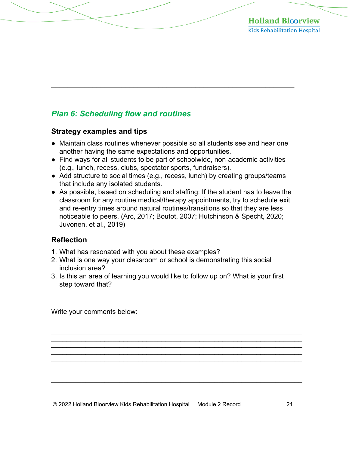## *Plan 6: Scheduling flow and routines*

#### **Strategy examples and tips**

● Maintain class routines whenever possible so all students see and hear one another having the same expectations and opportunities.

\_\_\_\_\_\_\_\_\_\_\_\_\_\_\_\_\_\_\_\_\_\_\_\_\_\_\_\_\_\_\_\_\_\_\_\_\_\_\_\_\_\_\_\_\_\_\_\_\_\_\_\_\_\_\_\_\_\_\_ \_\_\_\_\_\_\_\_\_\_\_\_\_\_\_\_\_\_\_\_\_\_\_\_\_\_\_\_\_\_\_\_\_\_\_\_\_\_\_\_\_\_\_\_\_\_\_\_\_\_\_\_\_\_\_\_\_\_\_

- Find ways for all students to be part of schoolwide, non-academic activities (e.g., lunch, recess, clubs, spectator sports, fundraisers).
- Add structure to social times (e.g., recess, lunch) by creating groups/teams that include any isolated students.
- As possible, based on scheduling and staffing: If the student has to leave the classroom for any routine medical/therapy appointments, try to schedule exit and re-entry times around natural routines/transitions so that they are less noticeable to peers. (Arc, 2017; Boutot, 2007; Hutchinson & Specht, 2020; Juvonen, et al., 2019)

#### **Reflection**

- 1. What has resonated with you about these examples?
- 2. What is one way your classroom or school is demonstrating this social inclusion area?
- 3. Is this an area of learning you would like to follow up on? What is your first step toward that?

\_\_\_\_\_\_\_\_\_\_\_\_\_\_\_\_\_\_\_\_\_\_\_\_\_\_\_\_\_\_\_\_\_\_\_\_\_\_\_\_\_\_\_\_\_\_\_\_\_\_\_\_\_\_\_\_\_\_\_\_\_\_\_\_\_\_

\_\_\_\_\_\_\_\_\_\_\_\_\_\_\_\_\_\_\_\_\_\_\_\_\_\_\_\_\_\_\_\_\_\_\_\_\_\_\_\_\_\_\_\_\_\_\_\_\_\_\_\_\_\_\_\_\_\_\_\_\_\_\_\_\_\_

\_\_\_\_\_\_\_\_\_\_\_\_\_\_\_\_\_\_\_\_\_\_\_\_\_\_\_\_\_\_\_\_\_\_\_\_\_\_\_\_\_\_\_\_\_\_\_\_\_\_\_\_\_\_\_\_\_\_\_\_\_\_\_\_\_\_  $\mathcal{L}_\mathcal{L} = \mathcal{L}_\mathcal{L} = \mathcal{L}_\mathcal{L} = \mathcal{L}_\mathcal{L} = \mathcal{L}_\mathcal{L} = \mathcal{L}_\mathcal{L} = \mathcal{L}_\mathcal{L} = \mathcal{L}_\mathcal{L} = \mathcal{L}_\mathcal{L} = \mathcal{L}_\mathcal{L} = \mathcal{L}_\mathcal{L} = \mathcal{L}_\mathcal{L} = \mathcal{L}_\mathcal{L} = \mathcal{L}_\mathcal{L} = \mathcal{L}_\mathcal{L} = \mathcal{L}_\mathcal{L} = \mathcal{L}_\mathcal{L}$  $\mathcal{L}_\mathcal{L}$  , and the contribution of the contribution of the contribution of the contribution of the contribution of the contribution of the contribution of the contribution of the contribution of the contribution of \_\_\_\_\_\_\_\_\_\_\_\_\_\_\_\_\_\_\_\_\_\_\_\_\_\_\_\_\_\_\_\_\_\_\_\_\_\_\_\_\_\_\_\_\_\_\_\_\_\_\_\_\_\_\_\_\_\_\_\_\_\_\_\_\_\_

 $\frac{1}{2}$ \_\_\_\_\_\_\_\_\_\_\_\_\_\_\_\_\_\_\_\_\_\_\_\_\_\_\_\_\_\_\_\_\_\_\_\_\_\_\_\_\_\_\_\_\_\_\_\_\_\_\_\_\_\_\_\_\_\_\_\_\_\_\_\_\_\_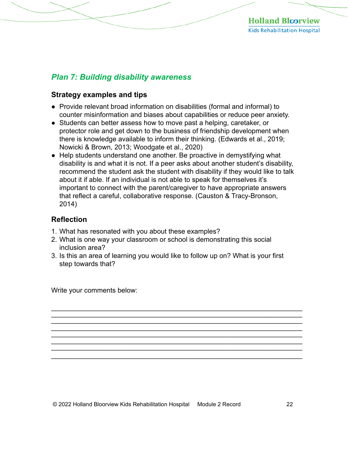## *Plan 7: Building disability awareness*

#### **Strategy examples and tips**

- Provide relevant broad information on disabilities (formal and informal) to counter misinformation and biases about capabilities or reduce peer anxiety.
- Students can better assess how to move past a helping, caretaker, or protector role and get down to the business of friendship development when there is knowledge available to inform their thinking. (Edwards et al., 2019; Nowicki & Brown, 2013; Woodgate et al., 2020)
- Help students understand one another. Be proactive in demystifying what disability is and what it is not. If a peer asks about another student's disability, recommend the student ask the student with disability if they would like to talk about it if able. If an individual is not able to speak for themselves it's important to connect with the parent/caregiver to have appropriate answers that reflect a careful, collaborative response. (Causton & Tracy-Bronson, 2014)

#### **Reflection**

- 1. What has resonated with you about these examples?
- 2. What is one way your classroom or school is demonstrating this social inclusion area?
- 3. Is this an area of learning you would like to follow up on? What is your first step towards that?

\_\_\_\_\_\_\_\_\_\_\_\_\_\_\_\_\_\_\_\_\_\_\_\_\_\_\_\_\_\_\_\_\_\_\_\_\_\_\_\_\_\_\_\_\_\_\_\_\_\_\_\_\_\_\_\_\_\_\_\_\_\_\_\_\_\_

\_\_\_\_\_\_\_\_\_\_\_\_\_\_\_\_\_\_\_\_\_\_\_\_\_\_\_\_\_\_\_\_\_\_\_\_\_\_\_\_\_\_\_\_\_\_\_\_\_\_\_\_\_\_\_\_\_\_\_\_\_\_\_\_\_\_

\_\_\_\_\_\_\_\_\_\_\_\_\_\_\_\_\_\_\_\_\_\_\_\_\_\_\_\_\_\_\_\_\_\_\_\_\_\_\_\_\_\_\_\_\_\_\_\_\_\_\_\_\_\_\_\_\_\_\_\_\_\_\_\_\_\_  $\mathcal{L}_\mathcal{L} = \mathcal{L}_\mathcal{L} = \mathcal{L}_\mathcal{L} = \mathcal{L}_\mathcal{L} = \mathcal{L}_\mathcal{L} = \mathcal{L}_\mathcal{L} = \mathcal{L}_\mathcal{L} = \mathcal{L}_\mathcal{L} = \mathcal{L}_\mathcal{L} = \mathcal{L}_\mathcal{L} = \mathcal{L}_\mathcal{L} = \mathcal{L}_\mathcal{L} = \mathcal{L}_\mathcal{L} = \mathcal{L}_\mathcal{L} = \mathcal{L}_\mathcal{L} = \mathcal{L}_\mathcal{L} = \mathcal{L}_\mathcal{L}$  $\mathcal{L}_\mathcal{L}$  , and the contribution of the contribution of the contribution of the contribution of the contribution of the contribution of the contribution of the contribution of the contribution of the contribution of \_\_\_\_\_\_\_\_\_\_\_\_\_\_\_\_\_\_\_\_\_\_\_\_\_\_\_\_\_\_\_\_\_\_\_\_\_\_\_\_\_\_\_\_\_\_\_\_\_\_\_\_\_\_\_\_\_\_\_\_\_\_\_\_\_\_

 $\frac{1}{2}$ \_\_\_\_\_\_\_\_\_\_\_\_\_\_\_\_\_\_\_\_\_\_\_\_\_\_\_\_\_\_\_\_\_\_\_\_\_\_\_\_\_\_\_\_\_\_\_\_\_\_\_\_\_\_\_\_\_\_\_\_\_\_\_\_\_\_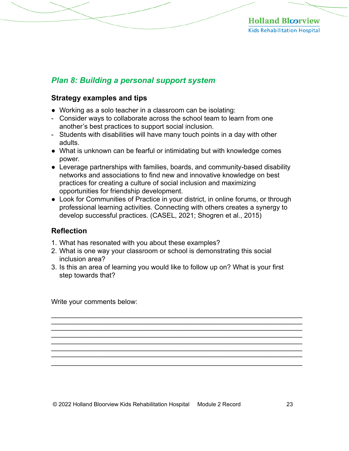## *Plan 8: Building a personal support system*

#### **Strategy examples and tips**

- Working as a solo teacher in a classroom can be isolating:
- Consider ways to collaborate across the school team to learn from one another's best practices to support social inclusion.
- Students with disabilities will have many touch points in a day with other adults.
- What is unknown can be fearful or intimidating but with knowledge comes power.
- Leverage partnerships with families, boards, and community-based disability networks and associations to find new and innovative knowledge on best practices for creating a culture of social inclusion and maximizing opportunities for friendship development.
- Look for Communities of Practice in your district, in online forums, or through professional learning activities. Connecting with others creates a synergy to develop successful practices. (CASEL, 2021; Shogren et al., 2015)

#### **Reflection**

- 1. What has resonated with you about these examples?
- 2. What is one way your classroom or school is demonstrating this social inclusion area?
- 3. Is this an area of learning you would like to follow up on? What is your first step towards that?

\_\_\_\_\_\_\_\_\_\_\_\_\_\_\_\_\_\_\_\_\_\_\_\_\_\_\_\_\_\_\_\_\_\_\_\_\_\_\_\_\_\_\_\_\_\_\_\_\_\_\_\_\_\_\_\_\_\_\_\_\_\_\_\_\_\_

\_\_\_\_\_\_\_\_\_\_\_\_\_\_\_\_\_\_\_\_\_\_\_\_\_\_\_\_\_\_\_\_\_\_\_\_\_\_\_\_\_\_\_\_\_\_\_\_\_\_\_\_\_\_\_\_\_\_\_\_\_\_\_\_\_\_

\_\_\_\_\_\_\_\_\_\_\_\_\_\_\_\_\_\_\_\_\_\_\_\_\_\_\_\_\_\_\_\_\_\_\_\_\_\_\_\_\_\_\_\_\_\_\_\_\_\_\_\_\_\_\_\_\_\_\_\_\_\_\_\_\_\_  $\mathcal{L}_\mathcal{L} = \mathcal{L}_\mathcal{L} = \mathcal{L}_\mathcal{L} = \mathcal{L}_\mathcal{L} = \mathcal{L}_\mathcal{L} = \mathcal{L}_\mathcal{L} = \mathcal{L}_\mathcal{L} = \mathcal{L}_\mathcal{L} = \mathcal{L}_\mathcal{L} = \mathcal{L}_\mathcal{L} = \mathcal{L}_\mathcal{L} = \mathcal{L}_\mathcal{L} = \mathcal{L}_\mathcal{L} = \mathcal{L}_\mathcal{L} = \mathcal{L}_\mathcal{L} = \mathcal{L}_\mathcal{L} = \mathcal{L}_\mathcal{L}$  $\mathcal{L}_\mathcal{L}$  , and the contribution of the contribution of the contribution of the contribution of the contribution of the contribution of the contribution of the contribution of the contribution of the contribution of \_\_\_\_\_\_\_\_\_\_\_\_\_\_\_\_\_\_\_\_\_\_\_\_\_\_\_\_\_\_\_\_\_\_\_\_\_\_\_\_\_\_\_\_\_\_\_\_\_\_\_\_\_\_\_\_\_\_\_\_\_\_\_\_\_\_

 $\frac{1}{2}$ \_\_\_\_\_\_\_\_\_\_\_\_\_\_\_\_\_\_\_\_\_\_\_\_\_\_\_\_\_\_\_\_\_\_\_\_\_\_\_\_\_\_\_\_\_\_\_\_\_\_\_\_\_\_\_\_\_\_\_\_\_\_\_\_\_\_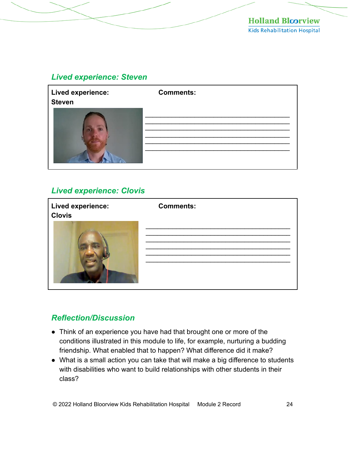## *Lived experience: Steven*

| Lived experience:<br><b>Steven</b> | <b>Comments:</b> |
|------------------------------------|------------------|
|                                    |                  |

## *Lived experience: Clovis*

| <b>Lived experience:</b><br><b>Clovis</b> | <b>Comments:</b> |
|-------------------------------------------|------------------|
|                                           |                  |

## *Reflection/Discussion*

- Think of an experience you have had that brought one or more of the conditions illustrated in this module to life, for example, nurturing a budding friendship. What enabled that to happen? What difference did it make?
- What is a small action you can take that will make a big difference to students with disabilities who want to build relationships with other students in their class?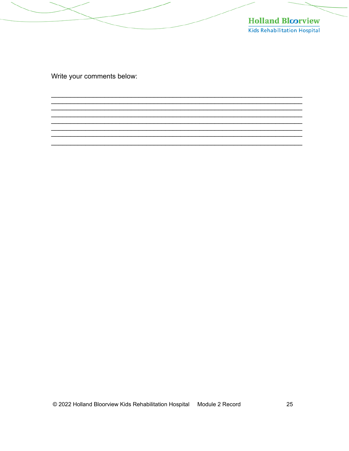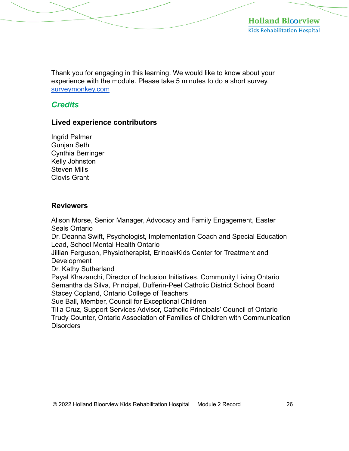Thank you for engaging in this learning. We would like to know about your experience with the module. Please take 5 minutes to do a short survey. [surveymonkey.com](https://www.surveymonkey.com/r/2JFVHR7)

#### *Credits*

#### **Lived experience contributors**

Ingrid Palmer Gunjan Seth Cynthia Berringer Kelly Johnston Steven Mills Clovis Grant

#### **Reviewers**

Alison Morse, Senior Manager, Advocacy and Family Engagement, Easter Seals Ontario

Dr. Deanna Swift, Psychologist, Implementation Coach and Special Education Lead, School Mental Health Ontario

Jillian Ferguson, Physiotherapist, ErinoakKids Center for Treatment and **Development** 

Dr. Kathy Sutherland

Payal Khazanchi, Director of Inclusion Initiatives, Community Living Ontario Semantha da Silva, Principal, Dufferin-Peel Catholic District School Board Stacey Copland, Ontario College of Teachers

Sue Ball, Member, Council for Exceptional Children

Tilia Cruz, Support Services Advisor, Catholic Principals' Council of Ontario Trudy Counter, Ontario Association of Families of Children with Communication **Disorders**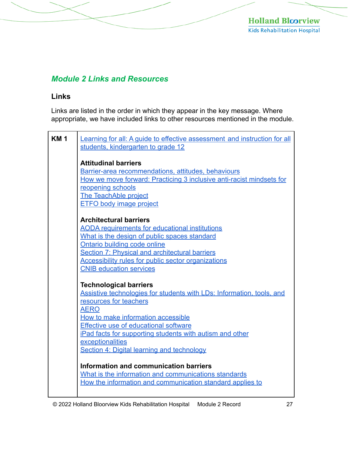## *Module 2 Links and Resources*

#### **Links**

Links are listed in the order in which they appear in the key message. Where appropriate, we have included links to other resources mentioned in the module.

| <b>KM1</b> | Learning for all: A guide to effective assessment and instruction for all<br>students, kindergarten to grade 12                                                                                                                                                                                                                                              |  |
|------------|--------------------------------------------------------------------------------------------------------------------------------------------------------------------------------------------------------------------------------------------------------------------------------------------------------------------------------------------------------------|--|
|            | <b>Attitudinal barriers</b><br>Barrier-area recommendations, attitudes, behaviours<br>How we move forward: Practicing 3 inclusive anti-racist mindsets for<br>reopening schools<br>The TeachAble project<br><b>ETFO body image project</b>                                                                                                                   |  |
|            | <b>Architectural barriers</b><br><b>AODA requirements for educational institutions</b><br>What is the design of public spaces standard<br>Ontario building code online<br><b>Section 7: Physical and architectural barriers</b><br><b>Accessibility rules for public sector organizations</b><br><b>CNIB education services</b>                              |  |
|            | <b>Technological barriers</b><br>Assistive technologies for students with LDs: Information, tools, and<br>resources for teachers<br><b>AERO</b><br>How to make information accessible<br>Effective use of educational software<br>iPad facts for supporting students with autism and other<br>exceptionalities<br>Section 4: Digital learning and technology |  |
|            | Information and communication barriers<br>What is the information and communications standards<br>How the information and communication standard applies to                                                                                                                                                                                                  |  |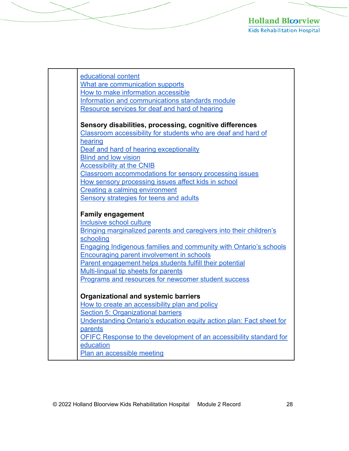| educational content                                                      |
|--------------------------------------------------------------------------|
| What are communication supports                                          |
| How to make information accessible                                       |
| Information and communications standards module                          |
| Resource services for deaf and hard of hearing                           |
| Sensory disabilities, processing, cognitive differences                  |
| Classroom accessibility for students who are deaf and hard of            |
| hearing                                                                  |
| Deaf and hard of hearing exceptionality                                  |
| <b>Blind and low vision</b>                                              |
| <b>Accessibility at the CNIB</b>                                         |
| Classroom accommodations for sensory processing issues                   |
| How sensory processing issues affect kids in school                      |
|                                                                          |
| Creating a calming environment                                           |
| Sensory strategies for teens and adults                                  |
|                                                                          |
| <b>Family engagement</b>                                                 |
| Inclusive school culture                                                 |
| Bringing marginalized parents and caregivers into their children's       |
| schooling                                                                |
| <b>Engaging Indigenous families and community with Ontario's schools</b> |
| <b>Encouraging parent involvement in schools</b>                         |
| Parent engagement helps students fulfill their potential                 |
| <b>Multi-lingual tip sheets for parents</b>                              |
| Programs and resources for newcomer student success                      |
| <b>Organizational and systemic barriers</b>                              |
| How to create an accessibility plan and policy                           |
| <b>Section 5: Organizational barriers</b>                                |
| Understanding Ontario's education equity action plan: Fact sheet for     |
| parents                                                                  |
| OFIFC Response to the development of an accessibility standard for       |
| education                                                                |
| Plan an accessible meeting                                               |
|                                                                          |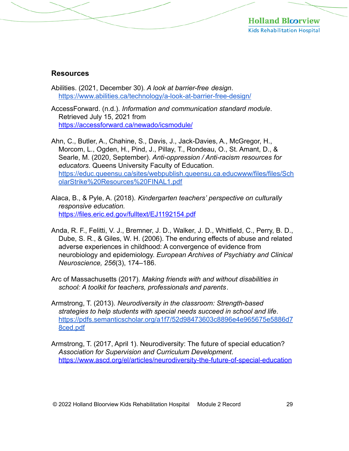#### **Resources**

Abilities. (2021, December 30)*. A look at barrier-free design*. <https://www.abilities.ca/technology/a-look-at-barrier-free-design/>

AccessForward. (n.d.). *Information and communication standard module*. Retrieved July 15, 2021 from <https://accessforward.ca/newado/icsmodule/>

Ahn, C., Butler, A., Chahine, S., Davis, J., Jack-Davies, A., McGregor, H., Morcom, L., Ogden, H., Pind, J., Pillay, T., Rondeau, O., St. Amant, D., & Searle, M. (2020, September). *Anti-oppression / Anti-racism resources for educators*. Queens University Faculty of Education. [https://educ.queensu.ca/sites/webpublish.queensu.ca.educwww/files/files/Sch](https://educ.queensu.ca/sites/webpublish.queensu.ca.educwww/files/files/ScholarStrike%20Resources%20FINAL1.pdf)  olarStrike%20Resources%20FINAL1.pdf

Alaca, B., & Pyle, A. (2018). *Kindergarten teachers' perspective on culturally responsive education.*  <https://files.eric.ed.gov/fulltext/EJ1192154.pdf>

- Anda, R. F., Felitti, V. J., Bremner, J. D., Walker, J. D., Whitfield, C., Perry, B. D., Dube, S. R., & Giles, W. H. (2006). The enduring effects of abuse and related adverse experiences in childhood: A convergence of evidence from neurobiology and epidemiology. *European Archives of Psychiatry and Clinical Neuroscience, 256*(3), 174–186.
- Arc of Massachusetts (2017). *Making friends with and without disabilities in school: A toolkit for teachers, professionals and parents*.
- Armstrong, T. (2013). *Neurodiversity in the classroom: Strength-based strategies to help students with special needs succeed in school and life*. [https://pdfs.semanticscholar.org/a1f7/52d98473603c8896e4e965675e5886d7](https://pdfs.semanticscholar.org/a1f7/52d98473603c8896e4e965675e5886d78ced.pdf) 8ced.pdf
- Armstrong, T. (2017, April 1). Neurodiversity: The future of special education? *Association for Supervision and Curriculum Development*. <https://www.ascd.org/el/articles/neurodiversity-the-future-of-special-education>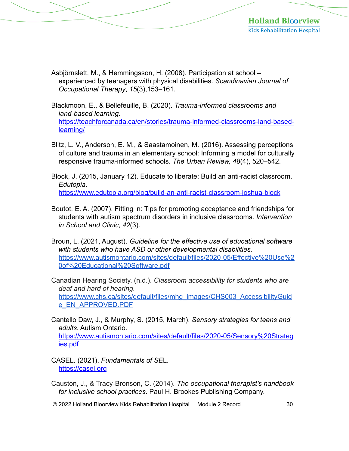Asbjörnslett, M., & Hemmingsson, H. (2008). Participation at school – experienced by teenagers with physical disabilities. *Scandinavian Journal of Occupational Therapy*, *15*(3),153–161.

Blackmoon, E., & Bellefeuille, B. (2020). *Trauma-informed classrooms and land-based learning.*  [https://teachforcanada.ca/en/stories/trauma-informed-classrooms-land-based](https://teachforcanada.ca/en/stories/trauma-informed-classrooms-land-based-learning/)learning/

- Blitz, L. V., Anderson, E. M., & Saastamoinen, M. (2016). Assessing perceptions of culture and trauma in an elementary school: Informing a model for culturally responsive trauma-informed schools. *The Urban Review, 48*(4), 520–542.
- Block, J. (2015, January 12). Educate to liberate: Build an anti-racist classroom. *Edutopia*. <https://www.edutopia.org/blog/build-an-anti-racist-classroom-joshua-block>
- Boutot, E. A. (2007). Fitting in: Tips for promoting acceptance and friendships for students with autism spectrum disorders in inclusive classrooms. *Intervention in School and Clinic*, *42*(3).
- Broun, L. (2021, August). *Guideline for the effective use of educational software with students who have ASD or other developmental disabilities.*  [https://www.autismontario.com/sites/default/files/2020-05/Effective%20Use%2](https://www.autismontario.com/sites/default/files/2020-05/Effective%20Use%20of%20Educational%20Software.pdf)  0of%20Educational%20Software.pdf
- Canadian Hearing Society. (n.d.). *Classroom accessibility for students who are deaf and hard of hearing.*  [https://www.chs.ca/sites/default/files/mhg\\_images/CHS003\\_AccessibilityGuid](https://www.chs.ca/sites/default/files/mhg_images/CHS003_AccessibilityGuide_EN_APPROVED.PDF)  e\_EN\_APPROVED.PDF
- Cantello Daw, J., & Murphy, S. (2015, March). *Sensory strategies for teens and adults*. Autism Ontario. [https://www.autismontario.com/sites/default/files/2020-05/Sensory%20Strateg](https://www.autismontario.com/sites/default/files/2020-05/Sensory%20Strategies.pdf)  ies.pdf
- CASEL. (2021). *Fundamentals of SE*L. [https://casel.org](https://casel.org/)
- Causton, J., & Tracy-Bronson, C. (2014). *The occupational therapist's handbook for inclusive school practices*. Paul H. Brookes Publishing Company.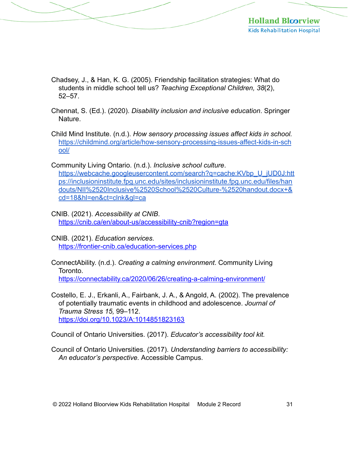- Chadsey, J., & Han, K. G. (2005). Friendship facilitation strategies: What do students in middle school tell us? *Teaching Exceptional Children, 38*(2), 52–57.
- Chennat, S. (Ed.). (2020). *Disability inclusion and inclusive education*. Springer Nature.
- Child Mind Institute. (n.d.). *How sensory processing issues affect kids in school.*  [https://childmind.org/article/how-sensory-processing-issues-affect-kids-in-sch](https://childmind.org/article/how-sensory-processing-issues-affect-kids-in-school/) ool/
- Community Living Ontario. (n.d.). *Inclusive school culture*. [https://webcache.googleusercontent.com/search?q=cache:KVbp\\_U\\_jUD0J:htt](https://webcache.googleusercontent.com/search?q=cache:KVbp_U_jUD0J:https://inclusioninstitute.fpg.unc.edu/sites/inclusioninstitute.fpg.unc.edu/files/handouts/NII%2520Inclusive%2520School%2520Culture-%2520handout.docx+&cd=18&hl=en&ct=clnk&gl=ca)  ps://inclusioninstitute.fpg.unc.edu/sites/inclusioninstitute.fpg.unc.edu/files/han douts/NII%2520Inclusive%2520School%2520Culture-%2520handout.docx+& cd=18&hl=en&ct=clnk&gl=ca
- CNIB. (2021). *Accessibility at CNIB*. <https://cnib.ca/en/about-us/accessibility-cnib?region=gta>
- CNIB. (2021). *Education services*. <https://frontier-cnib.ca/education-services.php>
- ConnectAbility. (n.d.). *Creating a calming environment*. Community Living Toronto. <https://connectability.ca/2020/06/26/creating-a-calming-environment/>
- Costello, E. J., Erkanli, A., Fairbank, J. A., & Angold, A. (2002). The prevalence of potentially traumatic events in childhood and adolescence. *Journal of Trauma Stress 15,* 99–112. <https://doi.org/10.1023/A:1014851823163>

Council of Ontario Universities. (2017). *Educator's accessibility tool kit.* 

Council of Ontario Universities. (2017). *Understanding barriers to accessibility: An educator's perspective.* Accessible Campus.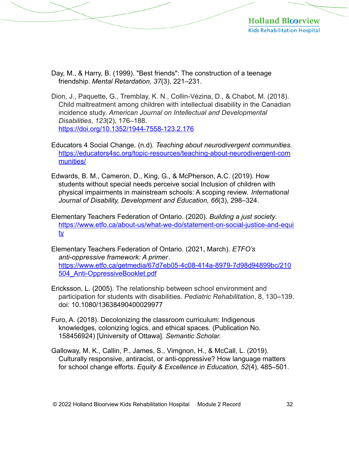Day, M., & Harry, B. (1999). "Best friends": The construction of a teenage friendship. *Mental Retardation, 37*(3), 221–231.

Dion, J., Paquette, G., Tremblay, K. N., Collin-Vézina, D., & Chabot, M. (2018). Child maltreatment among children with intellectual disability in the Canadian incidence study. *American Journal on Intellectual and Developmental Disabilities*, *123*(2), 176–188. <https://doi.org/10.1352/1944-7558-123.2.176>

Educators 4 Social Change. (n.d). *Teaching about neurodivergent communities.*  [https://educators4sc.org/topic-resources/teaching-about-neurodivergent-com](https://educators4sc.org/topic-resources/teaching-about-neurodivergent-communities/)  munities/

Edwards, B. M., Cameron, D., King, G., & McPherson, A.C. (2019). How students without special needs perceive social Inclusion of children with physical impairments in mainstream schools: A scoping review. *International Journal of Disability, Development and Education, 66*(3), 298–324.

Elementary Teachers Federation of Ontario. (2020). *Building a just society*. [https://www.etfo.ca/about-us/what-we-do/statement-on-social-justice-and-equi](https://www.etfo.ca/about-us/what-we-do/statement-on-social-justice-and-equity)  ty

Elementary Teachers Federation of Ontario. (2021, March). *ETFO's anti-oppressive framework: A primer*. [https://www.etfo.ca/getmedia/67d7eb05-4c08-414a-8979-7d98d94899bc/210](https://www.etfo.ca/getmedia/67d7eb05-4c08-414a-8979-7d98d94899bc/210504_Anti-OppressiveBooklet.pdf)  504\_Anti-OppressiveBooklet.pdf

- Ericksson, L. (2005). The relationship between school environment and participation for students with disabilities. *Pediatric Rehabilitation*, 8, 130–139. doi: [10.1080/13638490400029977](https://doi.org/10.1080/13638490400029977)
- Furo, A. (2018). Decolonizing the classroom curriculum: Indigenous knowledges, colonizing logics, and ethical spaces*.* (Publication No. 158456924) [University of Ottawa]. *Semantic Scholar.*

Galloway, M. K., Callin, P., James, S., Vimgnon, H., & McCall, L. (2019). Culturally responsive, antiracist, or anti-oppressive? How language matters for school change efforts. *Equity & Excellence in Education, 52*(4), 485–501.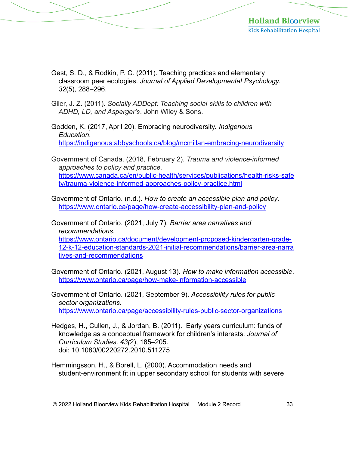Gest, S. D., & Rodkin, P. C. (2011). Teaching practices and elementary classroom peer ecologies. *Journal of Applied Developmental Psychology. 32*(5), 288–296.

Giler, J. Z. (2011). *Socially ADDept: Teaching social skills to children with ADHD, LD, and Asperger's*. John Wiley & Sons.

Godden, K. (2017, April 20). Embracing neurodiversity. *Indigenous Education*. <https://indigenous.abbyschools.ca/blog/mcmillan-embracing-neurodiversity>

Government of Canada. (2018, February 2). *Trauma and violence-informed approaches to policy and practice.*  [https://www.canada.ca/en/public-health/services/publications/health-risks-safe](https://www.canada.ca/en/public-health/services/publications/health-risks-safety/trauma-violence-informed-approaches-policy-practice.html) ty/trauma-violence-informed-approaches-policy-practice.html

Government of Ontario. (n.d.). *How to create an accessible plan and policy*. <https://www.ontario.ca/page/how-create-accessibility-plan-and-policy>

Government of Ontario. (2021, July 7). *Barrier area narratives and recommendations*. https://www.ontario.ca/document/development-proposed-kindergarten-grade-[12-k-12-education-standards-2021-initial-recommendations/barrier-area-narra](https://www.ontario.ca/document/development-proposed-kindergarten-grade-12-k-12-education-standards-2021-initial-recommendations/barrier-area-narratives-and-recommendations) tives-and-recommendations

Government of Ontario. (2021, August 13). *How to make information accessible*. <https://www.ontario.ca/page/how-make-information-accessible>

Government of Ontario. (2021, September 9). *Accessibility rules for public sector organizations*. <https://www.ontario.ca/page/accessibility-rules-public-sector-organizations>

- Hedges, H., Cullen, J., & Jordan, B. (2011). Early years curriculum: funds of knowledge as a conceptual framework for children's interests. *Journal of Curriculum Studies, 43(*2), 185–205. doi: 10.1080/00220272.2010.511275
- Hemmingsson, H., & Borell, L. (2000). Accommodation needs and student-environment fit in upper secondary school for students with severe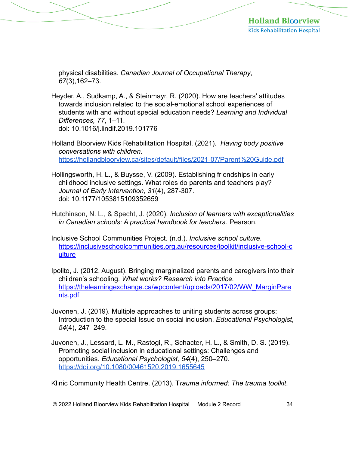physical disabilities. *Canadian Journal of Occupational Therapy*, *67*(3),162–73.

Heyder, A., Sudkamp, A., & Steinmayr, R. (2020). How are teachers' attitudes towards inclusion related to the social-emotional school experiences of students with and without special education needs? *Learning and Individual Differences, 77*, 1–11. doi: 10.1016/j.lindif.2019.101776

Holland Bloorview Kids Rehabilitation Hospital. (2021). *Having body positive conversations with children*. <https://hollandbloorview.ca/sites/default/files/2021-07/Parent%20Guide.pdf>

- Hollingsworth, H. L., & Buysse, V. (2009). Establishing friendships in early childhood inclusive settings. What roles do parents and teachers play? *Journal of Early Intervention, 31*(4), 287-307. doi: 10.1177/1053815109352659
- Hutchinson, N. L., & Specht, J. (2020). *Inclusion of learners with exceptionalities in Canadian schools: A practical handbook for teachers*. Pearson.
- Inclusive School Communities Project. (n.d.). *Inclusive school culture*. [https://inclusiveschoolcommunities.org.au/resources/toolkit/inclusive-school-c](https://inclusiveschoolcommunities.org.au/resources/toolkit/inclusive-school-culture)  ulture
- Ipolito, J. (2012, August). Bringing marginalized parents and caregivers into their children's schooling. *What works? Research into Practice.*  [https://thelearningexchange.ca/wpcontent/uploads/2017/02/WW\\_MarginPare](https://thelearningexchange.ca/wpcontent/uploads/2017/02/WW_MarginParents.pdf)  nts.pdf
- Juvonen, J. (2019). Multiple approaches to uniting students across groups: Introduction to the special Issue on social inclusion. *Educational Psychologist*, *54*(4), 247–249.
- Juvonen, J., Lessard, L. M., Rastogi, R., Schacter, H. L., & Smith, D. S. (2019). Promoting social inclusion in educational settings: Challenges and opportunities. *Educational Psychologist, 54*(4), 250–270. <https://doi.org/10.1080/00461520.2019.1655645>

Klinic Community Health Centre. (2013). T*rauma informed: The trauma toolkit*.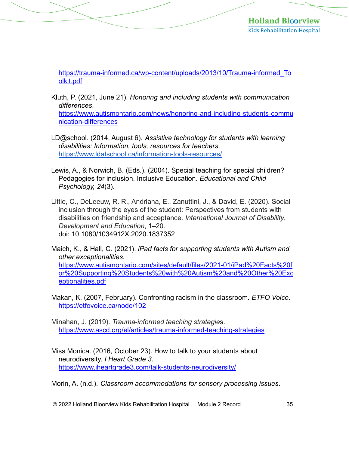[https://trauma-informed.ca/wp-content/uploads/2013/10/Trauma-informed\\_To](https://trauma-informed.ca/wp-content/uploads/2013/10/Trauma-informed_Toolkit.pdf)  olkit.pdf

Kluth, P. (2021, June 21). *Honoring and including students with communication differences*.

[https://www.autismontario.com/news/honoring-and-including-students-commu](https://www.autismontario.com/news/honoring-and-including-students-communication-differences)  nication-differences

- LD@school. (2014, August 6). *Assistive technology for students with learning disabilities: Information, tools, resources for teachers*. <https://www.ldatschool.ca/information-tools-resources/>
- Lewis, A., & Norwich, B. (Eds.). (2004). Special teaching for special children? Pedagogies for inclusion. Inclusive Education. *Educational and Child Psychology, 24*(3).
- Little, C., DeLeeuw, R. R., Andriana, E., Zanuttini, J., & David, E. (2020). Social inclusion through the eyes of the student: Perspectives from students with disabilities on friendship and acceptance. *International Journal of Disability, Development and Education*, 1–20. doi: [10.1080/1034912X.2020.1837352](https://doi.org/10.1080/1034912X.2020.1837352)

Maich, K., & Hall, C. (2021). *iPad facts for supporting students with Autism and other exceptionalities*. [https://www.autismontario.com/sites/default/files/2021-01/iPad%20Facts%20f](https://www.autismontario.com/sites/default/files/2021-01/iPad%20Facts%20for%20Supporting%20Students%20with%20Autism%20and%20Other%20Exceptionalities.pdf)  or%20Supporting%20Students%20with%20Autism%20and%20Other%20Exc eptionalities.pdf

Makan, K. (2007, February). Confronting racism in the classroom*. ETFO Voice*. <https://etfovoice.ca/node/102>

Minahan, J. (2019). *Trauma-informed teaching strategie*s. <https://www.ascd.org/el/articles/trauma-informed-teaching-strategies>

Miss Monica. (2016, October 23). How to talk to your students about neurodiversity. *I Heart Grade 3*. <https://www.iheartgrade3.com/talk-students-neurodiversity/>

Morin, A. (n.d.). *Classroom accommodations for sensory processing issues*.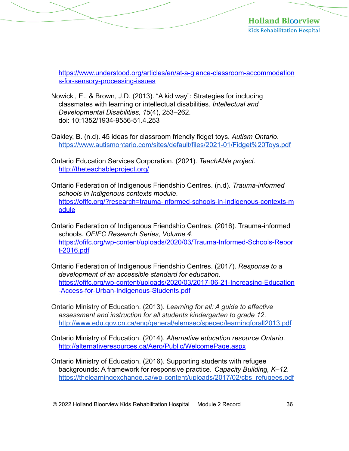[https://www.understood.org/articles/en/at-a-glance-classroom-accommodation](https://www.understood.org/articles/en/at-a-glance-classroom-accommodations-for-sensory-processing-issues)  s-for-sensory-processing-issues

- Nowicki, E., & Brown, J.D. (2013). "A kid way": Strategies for including classmates with learning or intellectual disabilities. *Intellectual and Developmental Disabilities, 15*(4), 253–262. doi: 10:1352/1934-9556-51.4.253
- Oakley, B. (n.d). 45 ideas for classroom friendly fidget toys. *Autism Ontario*. <https://www.autismontario.com/sites/default/files/2021-01/Fidget%20Toys.pdf>
- Ontario Education Services Corporation. (2021). *TeachAble project*. <http://theteachableproject.org/>
- Ontario Federation of Indigenous Friendship Centres. (n.d). *Trauma-informed schools in Indigenous contexts module*. [https://ofifc.org/?research=trauma-informed-schools-in-indigenous-contexts-m](https://ofifc.org/?research=trauma-informed-schools-in-indigenous-contexts-module)  odule
- Ontario Federation of Indigenous Friendship Centres. (2016). Trauma-informed schools*. OFIFC Research Series, Volume 4*. [https://ofifc.org/wp-content/uploads/2020/03/Trauma-Informed-Schools-Repor](https://ofifc.org/wp-content/uploads/2020/03/Trauma-Informed-Schools-Report-2016.pdf)  t-2016.pdf
- Ontario Federation of Indigenous Friendship Centres. (2017). *Response to a development of an accessible standard for education.*  [https://ofifc.org/wp-content/uploads/2020/03/2017-06-21-Increasing-Education](https://ofifc.org/wp-content/uploads/2020/03/2017-06-21-Increasing-Education-Access-for-Urban-Indigenous-Students.pdf) -Access-for-Urban-Indigenous-Students.pdf
- Ontario Ministry of Education. (2013). *Learning for all: A guide to effective assessment and instruction for all students kindergarten to grade 12*. <http://www.edu.gov.on.ca/eng/general/elemsec/speced/learningforall2013.pdf>
- Ontario Ministry of Education. (2014). *Alternative education resource Ontario*. <http://alternativeresources.ca/Aero/Public/WelcomePage.aspx>
- Ontario Ministry of Education. (2016). Supporting students with refugee backgrounds: A framework for responsive practice. *Capacity Building, K*–*12*. [https://thelearningexchange.ca/wp-content/uploads/2017/02/cbs\\_refugees.pdf](https://thelearningexchange.ca/wp-content/uploads/2017/02/cbs_refugees.pdf)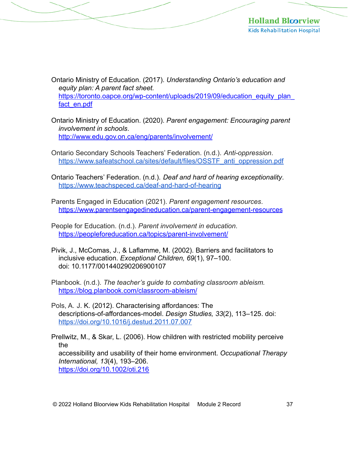Ontario Ministry of Education. (2017). *Understanding Ontario's education and equity plan: A parent fact sheet.*  https://toronto.oapce.org/wp-content/uploads/2019/09/education\_equity\_plan fact\_en.pdf

Ontario Ministry of Education. (2020). *Parent engagement: Encouraging parent involvement in schools*. <http://www.edu.gov.on.ca/eng/parents/involvement/>

Ontario Secondary Schools Teachers' Federation. (n.d.). *Anti-oppression*. https://www.safeatschool.ca/sites/default/files/OSSTF\_anti\_oppression.pdf

Ontario Teachers' Federation. (n.d.). *Deaf and hard of hearing exceptionality*. <https://www.teachspeced.ca/deaf-and-hard-of-hearing>

Parents Engaged in Education (2021). *Parent engagement resources*. <https://www.parentsengagedineducation.ca/parent-engagement-resources>

People for Education. (n.d.). *Parent involvement in education*. <https://peopleforeducation.ca/topics/parent-involvement/>

Pivik, J., McComas, J., & Laflamme, M. (2002). Barriers and facilitators to inclusive education. *Exceptional Children, 69*(1), 97–100. doi: 10.1177/001440290206900107

Planbook. (n.d.). *The teacher's guide to combating classroom ableism.*  <https://blog.planbook.com/classroom-ableism/>

Pols, A. J. K. (2012). Characterising affordances: The descriptions-of-affordances-model. *Design Studies, 33*(2), 113–125. doi: <https://doi.org/10.1016/j.destud.2011.07.007>

Prellwitz, M., & Skar, L. (2006). How children with restricted mobility perceive the accessibility and usability of their home environment. *Occupational Therapy International, 13*(4), 193–206. <https://doi.org/10.1002/oti.216>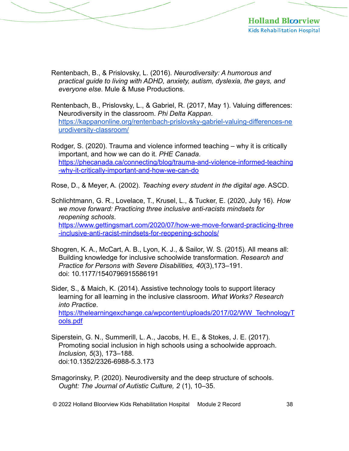Rentenbach, B., & Prislovsky, L. (2016). *Neurodiversity: A humorous and practical guide to living with ADHD, anxiety, autism, dyslexia, the gays, and everyone else.* Mule & Muse Productions.

Rentenbach, B., Prislovsky, L., & Gabriel, R. (2017, May 1). Valuing differences: Neurodiversity in the classroom. *Phi Delta Kappan*. [https://kappanonline.org/rentenbach-prislovsky-gabriel-valuing-differences-ne](https://kappanonline.org/rentenbach-prislovsky-gabriel-valuing-differences-neurodiversity-classroom/)  urodiversity-classroom/

Rodger, S. (2020). Trauma and violence informed teaching – why it is critically important, and how we can do it. *PHE Canada*. [https://phecanada.ca/connecting/blog/trauma-and-violence-informed-teaching](https://phecanada.ca/connecting/blog/trauma-and-violence-informed-teaching-why-it-critically-important-and-how-we-can-do) -why-it-critically-important-and-how-we-can-do

Rose, D., & Meyer, A. (2002). *Teaching every student in the digital age*. ASCD.

Schlichtmann, G. R., Lovelace, T., Krusel, L., & Tucker, E. (2020, July 16). *How we move forward: Practicing three inclusive anti-racists mindsets for reopening schools*. [https://www.gettingsmart.com/2020/07/how-we-move-forward-practicing-three](https://www.gettingsmart.com/2020/07/how-we-move-forward-practicing-three-inclusive-anti-racist-mindsets-for-reopening-schools/) -inclusive-anti-racist-mindsets-for-reopening-schools/

Shogren, K. A., McCart, A. B., Lyon, K. J., & Sailor, W. S. (2015). All means all: Building knowledge for inclusive schoolwide transformation. *Research and Practice for Persons with Severe Disabilities, 40*(3),173–191. doi: 10.1177/1540796915586191

Sider, S., & Maich, K. (2014). Assistive technology tools to support literacy learning for all learning in the inclusive classroom. *What Works? Research into Practice*. [https://thelearningexchange.ca/wpcontent/uploads/2017/02/WW\\_TechnologyT](https://thelearningexchange.ca/wpcontent/uploads/2017/02/WW_TechnologyTools.pdf)  ools.pdf

[Siperstein, G. N.](https://www.proquest.com/indexinglinkhandler/sng/au/Siperstein,+Gary+N/$N;jsessionid=087FE3C65661530AD70F12FA363C1950.i-0360b6cfa7d23038a), [Summerill, L. A.](https://www.proquest.com/indexinglinkhandler/sng/au/Summerill,+Lauren+A/$N;jsessionid=087FE3C65661530AD70F12FA363C1950.i-0360b6cfa7d23038a), [Jacobs, H. E.](https://www.proquest.com/indexinglinkhandler/sng/au/Jacobs,+Holly+E/$N;jsessionid=087FE3C65661530AD70F12FA363C1950.i-0360b6cfa7d23038a), & [Stokes, J. E.](https://www.proquest.com/indexinglinkhandler/sng/au/Stokes,+Jeffrey+E/$N;jsessionid=087FE3C65661530AD70F12FA363C1950.i-0360b6cfa7d23038a) (2017). Promoting social inclusion in high schools using a schoolwide approach. *[Inclusion](https://www.proquest.com/pubidlinkhandler/sng/pubtitle/Inclusion/$N/4931649/OpenView/2528772805/$B/62E63CA71C54472PQ/1;jsessionid=087FE3C65661530AD70F12FA363C1950.i-0360b6cfa7d23038a), 5*(3), 173–188.

doi:10.1352/2326-6988-5.3.173

Smagorinsky, P. (2020). Neurodiversity and the deep structure of schools. *Ought: The Journal of Autistic Culture, 2* (1), 10–35.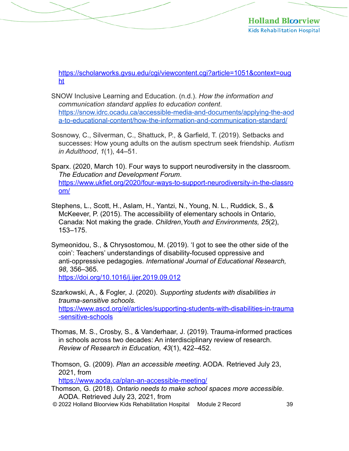[https://scholarworks.gvsu.edu/cgi/viewcontent.cgi?article=1051&context=oug](https://scholarworks.gvsu.edu/cgi/viewcontent.cgi?article=1051&context=ought)  ht

- SNOW Inclusive Learning and Education. (n.d.). *How the information and communication standard applies to education content*. [https://snow.idrc.ocadu.ca/accessible-media-and-documents/applying-the-aod](https://snow.idrc.ocadu.ca/accessible-media-and-documents/applying-the-aoda-to-educational-content/how-the-information-and-communication-standard/) a-to-educational-content/how-the-information-and-communication-standard/
- Sosnowy, C., Silverman, C., Shattuck, P., & Garfield, T. (2019). Setbacks and successes: How young adults on the autism spectrum seek friendship. *Autism in Adulthood*, *1*(1), 44–51.
- Sparx. (2020, March 10). Four ways to support neurodiversity in the classroom. *The Education and Development Forum*. [https://www.ukfiet.org/2020/four-ways-to-support-neurodiversity-in-the-classro](https://www.ukfiet.org/2020/four-ways-to-support-neurodiversity-in-the-classroom/)  om/
- Stephens, L., Scott, H., Aslam, H., Yantzi, N., Young, N. L., Ruddick, S., & McKeever, P. (2015). The accessibility of elementary schools in Ontario, Canada: Not making the grade. *Children*,*Youth and Environments, 25*(2), 153–175.
- Symeonidou, S., & Chrysostomou, M. (2019). 'I got to see the other side of the coin': Teachers' understandings of disability-focused oppressive and anti-oppressive pedagogies*. International Journal of Educational Research, 98*, 356–365.

<https://doi.org/10.1016/j.ijer.2019.09.012>

- Szarkowski, A., & Fogler, J. (2020). *Supporting students with disabilities in trauma-sensitive schools.*  [https://www.ascd.org/el/articles/supporting-students-with-disabilities-in-trauma](https://www.ascd.org/el/articles/supporting-students-with-disabilities-in-trauma-sensitive-schools) -sensitive-schools
- Thomas, M. S., Crosby, S., & Vanderhaar, J. (2019). Trauma-informed practices in schools across two decades: An interdisciplinary review of research. *Review of Research in Education, 43*(1), 422–452.

Thomson, G. (2009). *Plan an accessible meeting*. AODA. Retrieved July 23, 2021, from

<https://www.aoda.ca/plan-an-accessible-meeting/>

- Thomson, G. (2018). *Ontario needs to make school spaces more accessible*. AODA. Retrieved July 23, 2021, from
- © 2022 Holland Bloorview Kids Rehabilitation Hospital Module 2 Record 39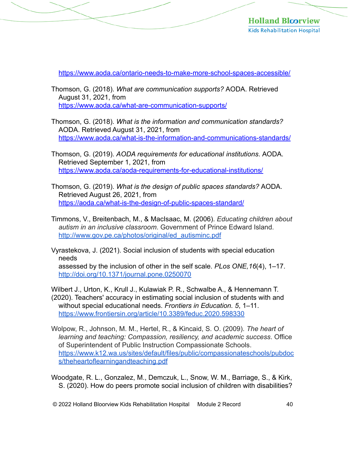<https://www.aoda.ca/ontario-needs-to-make-more-school-spaces-accessible/>

Thomson, G. (2018). *What are communication supports?* AODA. Retrieved August 31, 2021, from <https://www.aoda.ca/what-are-communication-supports/>

Thomson, G. (2018). *What is the information and communication standards?*  AODA. Retrieved August 31, 2021, from <https://www.aoda.ca/what-is-the-information-and-communications-standards/>

Thomson, G. (2019). *AODA requirements for educational institutions*. AODA. Retrieved September 1, 2021, from <https://www.aoda.ca/aoda-requirements-for-educational-institutions/>

Thomson, G. (2019). *What is the design of public spaces standards?* AODA. Retrieved August 26, 2021, from <https://aoda.ca/what-is-the-design-of-public-spaces-standard/>

Timmons, V., Breitenbach, M., & MacIsaac, M. (2006). *Educating children about autism in an inclusive classroom*. Government of Prince Edward Island. [http://www.gov.pe.ca/photos/original/ed\\_autisminc.pdf](http://www.gov.pe.ca/photos/original/ed_autisminc.pdf) 

Vyrastekova, J. (2021). Social inclusion of students with special education needs

assessed by the inclusion of other in the self scale. *PLos ONE,16*(4), 1–17. <http://doi.org/10.1371/journal.pone.0250070>

Wilbert J., Urton, K., Krull J., Kulawiak P. R., Schwalbe A., & Hennemann T. (2020). Teachers' accuracy in estimating social inclusion of students with and without special educational needs. *Frontiers in Education. 5*, 1–11. <https://www.frontiersin.org/article/10.3389/feduc.2020.598330>

Wolpow, R., Johnson, M. M., Hertel, R., & Kincaid, S. O. (2009). *The heart of learning and teaching: Compassion, resiliency, and academic success*. Office of Superintendent of Public Instruction Compassionate Schools. [https://www.k12.wa.us/sites/default/files/public/compassionateschools/pubdoc](https://www.k12.wa.us/sites/default/files/public/compassionateschools/pubdocs/theheartoflearningandteaching.pdf)  s/theheartoflearningandteaching.pdf

Woodgate, R. L., Gonzalez, M., Demczuk, L., Snow, W. M., Barriage, S., & Kirk, S. (2020). How do peers promote social inclusion of children with disabilities?